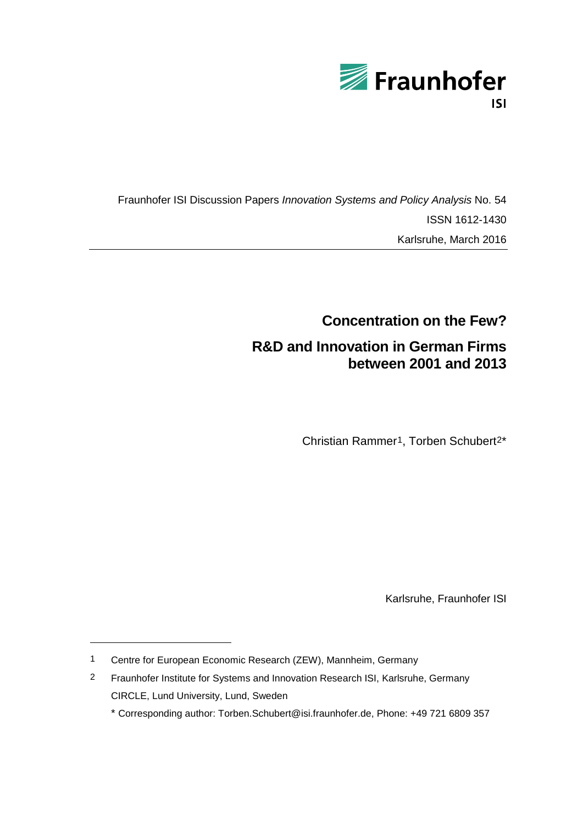

Fraunhofer ISI Discussion Papers *Innovation Systems and Policy Analysis* No. 54 ISSN 1612-1430 Karlsruhe, March 2016

# **Concentration on the Few? R&D and Innovation in German Firms between 2001 and 2013**

Christian Rammer[1](#page-0-0), Torben Schubert[2\\*](#page-0-1)

Karlsruhe, Fraunhofer ISI

 $\overline{a}$ 

<span id="page-0-0"></span><sup>1</sup> Centre for European Economic Research (ZEW), Mannheim, Germany

<span id="page-0-1"></span><sup>2</sup> Fraunhofer Institute for Systems and Innovation Research ISI, Karlsruhe, Germany CIRCLE, Lund University, Lund, Sweden

<sup>\*</sup> Corresponding author: [Torben.Schubert@isi.fraunhofer.de,](mailto:Torben.Schubert@isi.fraunhofer.de) Phone: +49 721 6809 357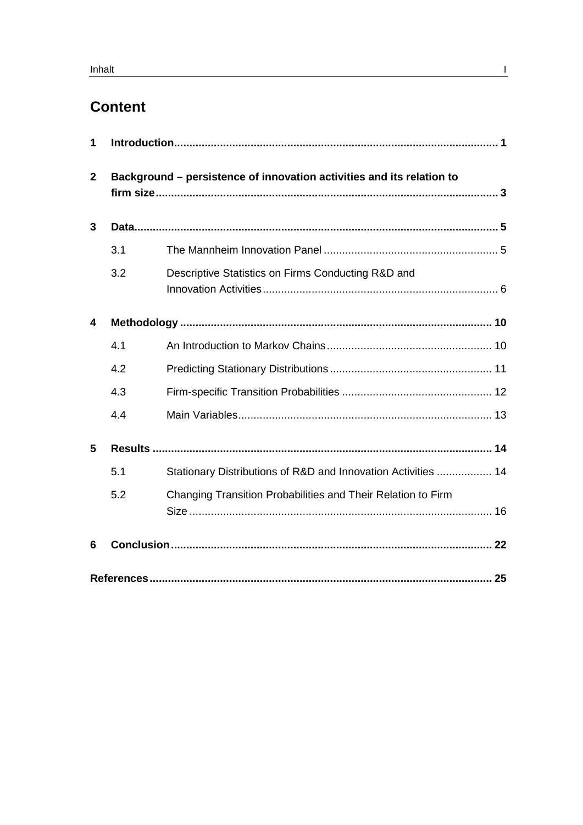# **Content**

| 1            |     |                                                                       |  |
|--------------|-----|-----------------------------------------------------------------------|--|
| $\mathbf{2}$ |     | Background - persistence of innovation activities and its relation to |  |
| 3            |     |                                                                       |  |
|              | 3.1 |                                                                       |  |
|              | 3.2 | Descriptive Statistics on Firms Conducting R&D and                    |  |
| 4            |     |                                                                       |  |
|              | 4.1 |                                                                       |  |
|              | 4.2 |                                                                       |  |
|              | 4.3 |                                                                       |  |
|              | 4.4 |                                                                       |  |
| 5            |     |                                                                       |  |
|              | 5.1 | Stationary Distributions of R&D and Innovation Activities  14         |  |
|              | 5.2 | Changing Transition Probabilities and Their Relation to Firm          |  |
| 6            |     |                                                                       |  |
|              |     |                                                                       |  |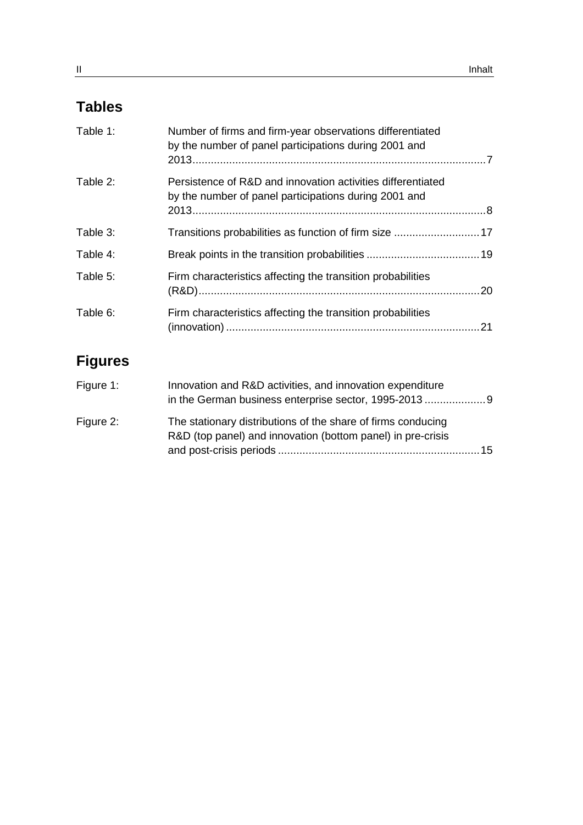# **Tables**

| Table 1: | Number of firms and firm-year observations differentiated<br>by the number of panel participations during 2001 and   |    |
|----------|----------------------------------------------------------------------------------------------------------------------|----|
| Table 2: | Persistence of R&D and innovation activities differentiated<br>by the number of panel participations during 2001 and |    |
| Table 3: | Transitions probabilities as function of firm size  17                                                               |    |
| Table 4: |                                                                                                                      |    |
| Table 5: | Firm characteristics affecting the transition probabilities                                                          |    |
| Table 6: | Firm characteristics affecting the transition probabilities                                                          | 21 |

# **Figures**

| Figure 1: | Innovation and R&D activities, and innovation expenditure<br>in the German business enterprise sector, 1995-2013            |     |
|-----------|-----------------------------------------------------------------------------------------------------------------------------|-----|
| Figure 2: | The stationary distributions of the share of firms conducing<br>R&D (top panel) and innovation (bottom panel) in pre-crisis |     |
|           |                                                                                                                             | .15 |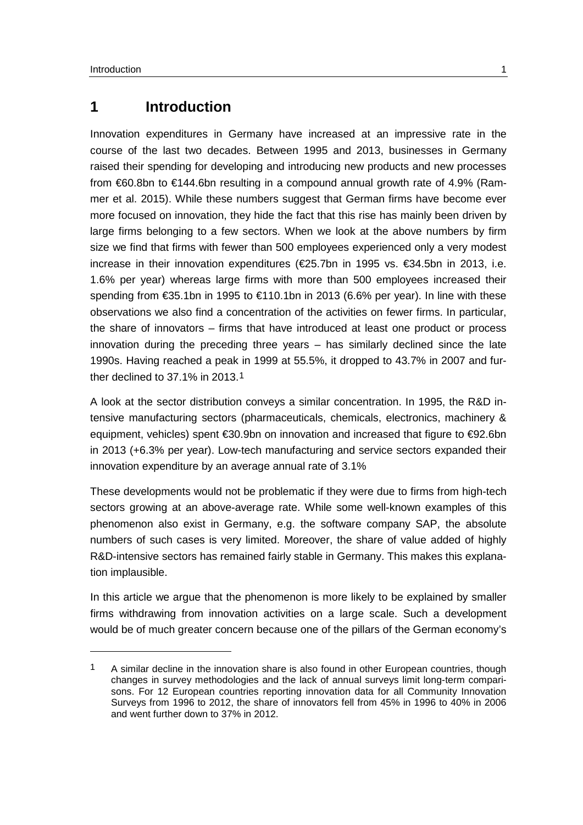-

## <span id="page-4-0"></span>**1 Introduction**

Innovation expenditures in Germany have increased at an impressive rate in the course of the last two decades. Between 1995 and 2013, businesses in Germany raised their spending for developing and introducing new products and new processes from €60.8bn to €144.6bn resulting in a compound annual growth rate of 4.9% (Rammer et al. 2015). While these numbers suggest that German firms have become ever more focused on innovation, they hide the fact that this rise has mainly been driven by large firms belonging to a few sectors. When we look at the above numbers by firm size we find that firms with fewer than 500 employees experienced only a very modest increase in their innovation expenditures (€25.7bn in 1995 vs. €34.5bn in 2013, i.e. 1.6% per year) whereas large firms with more than 500 employees increased their spending from €35.1bn in 1995 to €110.1bn in 2013 (6.6% per year). In line with these observations we also find a concentration of the activities on fewer firms. In particular, the share of innovators – firms that have introduced at least one product or process innovation during the preceding three years – has similarly declined since the late 1990s. Having reached a peak in 1999 at 55.5%, it dropped to 43.7% in 2007 and further declined to 37.1% in 2013.[1](#page-4-1)

A look at the sector distribution conveys a similar concentration. In 1995, the R&D intensive manufacturing sectors (pharmaceuticals, chemicals, electronics, machinery & equipment, vehicles) spent €30.9bn on innovation and increased that figure to €92.6bn in 2013 (+6.3% per year). Low-tech manufacturing and service sectors expanded their innovation expenditure by an average annual rate of 3.1%

These developments would not be problematic if they were due to firms from high-tech sectors growing at an above-average rate. While some well-known examples of this phenomenon also exist in Germany, e.g. the software company SAP, the absolute numbers of such cases is very limited. Moreover, the share of value added of highly R&D-intensive sectors has remained fairly stable in Germany. This makes this explanation implausible.

In this article we argue that the phenomenon is more likely to be explained by smaller firms withdrawing from innovation activities on a large scale. Such a development would be of much greater concern because one of the pillars of the German economy's

<span id="page-4-1"></span><sup>1</sup> A similar decline in the innovation share is also found in other European countries, though changes in survey methodologies and the lack of annual surveys limit long-term comparisons. For 12 European countries reporting innovation data for all Community Innovation Surveys from 1996 to 2012, the share of innovators fell from 45% in 1996 to 40% in 2006 and went further down to 37% in 2012.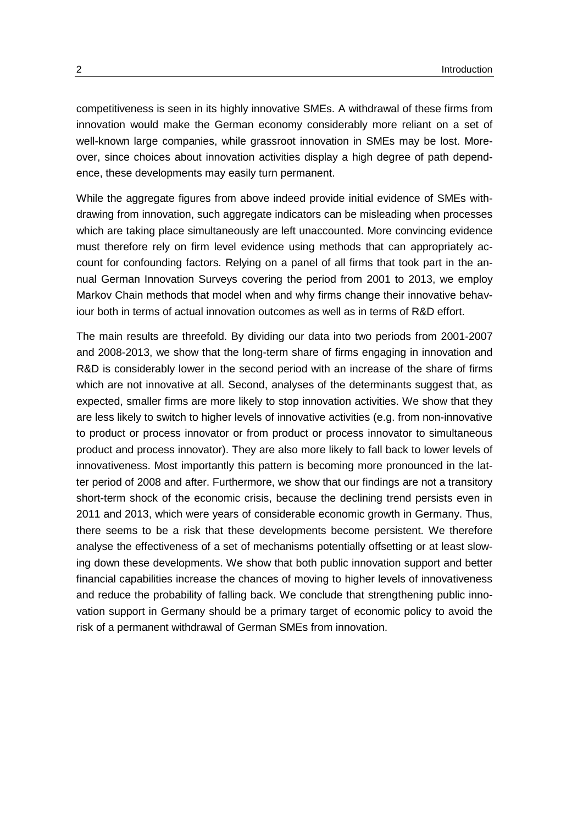competitiveness is seen in its highly innovative SMEs. A withdrawal of these firms from innovation would make the German economy considerably more reliant on a set of well-known large companies, while grassroot innovation in SMEs may be lost. Moreover, since choices about innovation activities display a high degree of path dependence, these developments may easily turn permanent.

While the aggregate figures from above indeed provide initial evidence of SMEs withdrawing from innovation, such aggregate indicators can be misleading when processes which are taking place simultaneously are left unaccounted. More convincing evidence must therefore rely on firm level evidence using methods that can appropriately account for confounding factors. Relying on a panel of all firms that took part in the annual German Innovation Surveys covering the period from 2001 to 2013, we employ Markov Chain methods that model when and why firms change their innovative behaviour both in terms of actual innovation outcomes as well as in terms of R&D effort.

The main results are threefold. By dividing our data into two periods from 2001-2007 and 2008-2013, we show that the long-term share of firms engaging in innovation and R&D is considerably lower in the second period with an increase of the share of firms which are not innovative at all. Second, analyses of the determinants suggest that, as expected, smaller firms are more likely to stop innovation activities. We show that they are less likely to switch to higher levels of innovative activities (e.g. from non-innovative to product or process innovator or from product or process innovator to simultaneous product and process innovator). They are also more likely to fall back to lower levels of innovativeness. Most importantly this pattern is becoming more pronounced in the latter period of 2008 and after. Furthermore, we show that our findings are not a transitory short-term shock of the economic crisis, because the declining trend persists even in 2011 and 2013, which were years of considerable economic growth in Germany. Thus, there seems to be a risk that these developments become persistent. We therefore analyse the effectiveness of a set of mechanisms potentially offsetting or at least slowing down these developments. We show that both public innovation support and better financial capabilities increase the chances of moving to higher levels of innovativeness and reduce the probability of falling back. We conclude that strengthening public innovation support in Germany should be a primary target of economic policy to avoid the risk of a permanent withdrawal of German SMEs from innovation.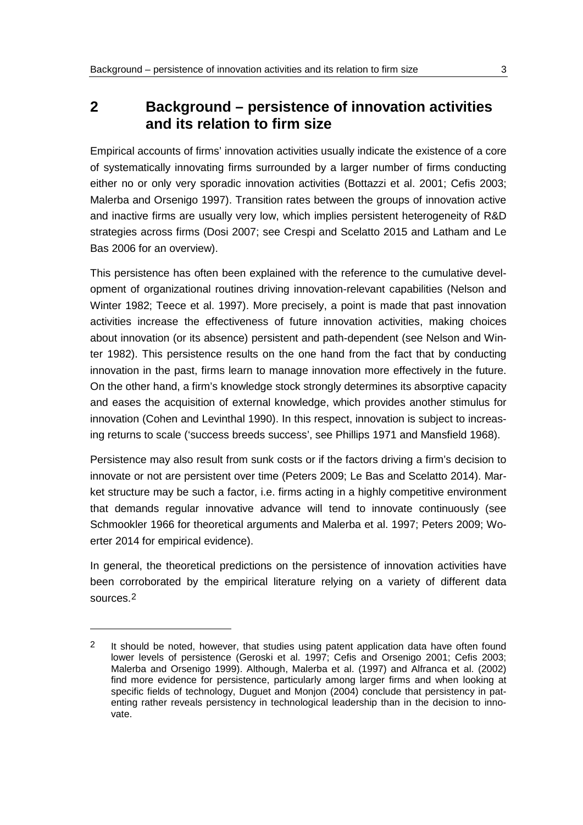## <span id="page-6-0"></span>**2 Background – persistence of innovation activities and its relation to firm size**

Empirical accounts of firms' innovation activities usually indicate the existence of a core of systematically innovating firms surrounded by a larger number of firms conducting either no or only very sporadic innovation activities (Bottazzi et al. 2001; Cefis 2003; Malerba and Orsenigo 1997). Transition rates between the groups of innovation active and inactive firms are usually very low, which implies persistent heterogeneity of R&D strategies across firms (Dosi 2007; see Crespi and Scelatto 2015 and Latham and Le Bas 2006 for an overview).

This persistence has often been explained with the reference to the cumulative development of organizational routines driving innovation-relevant capabilities (Nelson and Winter 1982; Teece et al. 1997). More precisely, a point is made that past innovation activities increase the effectiveness of future innovation activities, making choices about innovation (or its absence) persistent and path-dependent (see Nelson and Winter 1982). This persistence results on the one hand from the fact that by conducting innovation in the past, firms learn to manage innovation more effectively in the future. On the other hand, a firm's knowledge stock strongly determines its absorptive capacity and eases the acquisition of external knowledge, which provides another stimulus for innovation (Cohen and Levinthal 1990). In this respect, innovation is subject to increasing returns to scale ('success breeds success', see Phillips 1971 and Mansfield 1968).

Persistence may also result from sunk costs or if the factors driving a firm's decision to innovate or not are persistent over time (Peters 2009; Le Bas and Scelatto 2014). Market structure may be such a factor, i.e. firms acting in a highly competitive environment that demands regular innovative advance will tend to innovate continuously (see Schmookler 1966 for theoretical arguments and Malerba et al. 1997; Peters 2009; Woerter 2014 for empirical evidence).

In general, the theoretical predictions on the persistence of innovation activities have been corroborated by the empirical literature relying on a variety of different data sources.[2](#page-6-1)

 $\overline{a}$ 

<span id="page-6-1"></span><sup>2</sup> It should be noted, however, that studies using patent application data have often found lower levels of persistence (Geroski et al. 1997; Cefis and Orsenigo 2001; Cefis 2003; Malerba and Orsenigo 1999). Although, Malerba et al. (1997) and Alfranca et al. (2002) find more evidence for persistence, particularly among larger firms and when looking at specific fields of technology, Duguet and Monjon (2004) conclude that persistency in patenting rather reveals persistency in technological leadership than in the decision to innovate.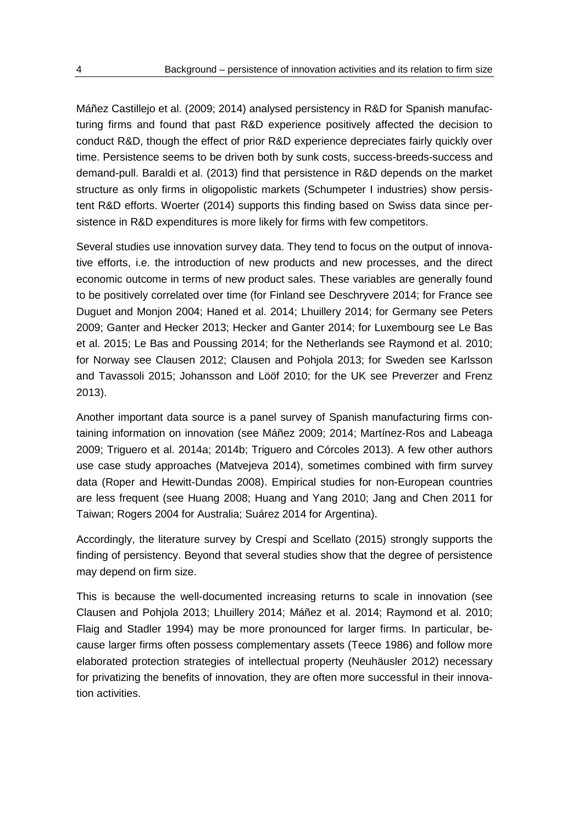Máñez Castillejo et al. (2009; 2014) analysed persistency in R&D for Spanish manufacturing firms and found that past R&D experience positively affected the decision to conduct R&D, though the effect of prior R&D experience depreciates fairly quickly over time. Persistence seems to be driven both by sunk costs, success-breeds-success and demand-pull. Baraldi et al. (2013) find that persistence in R&D depends on the market structure as only firms in oligopolistic markets (Schumpeter I industries) show persistent R&D efforts. Woerter (2014) supports this finding based on Swiss data since persistence in R&D expenditures is more likely for firms with few competitors.

Several studies use innovation survey data. They tend to focus on the output of innovative efforts, i.e. the introduction of new products and new processes, and the direct economic outcome in terms of new product sales. These variables are generally found to be positively correlated over time (for Finland see Deschryvere 2014; for France see Duguet and Monjon 2004; Haned et al. 2014; Lhuillery 2014; for Germany see Peters 2009; Ganter and Hecker 2013; Hecker and Ganter 2014; for Luxembourg see Le Bas et al. 2015; Le Bas and Poussing 2014; for the Netherlands see Raymond et al. 2010; for Norway see Clausen 2012; Clausen and Pohjola 2013; for Sweden see Karlsson and Tavassoli 2015; Johansson and Lööf 2010; for the UK see Preverzer and Frenz 2013).

Another important data source is a panel survey of Spanish manufacturing firms containing information on innovation (see Máñez 2009; 2014; Martínez-Ros and Labeaga 2009; Triguero et al. 2014a; 2014b; Triguero and Córcoles 2013). A few other authors use case study approaches (Matvejeva 2014), sometimes combined with firm survey data (Roper and Hewitt-Dundas 2008). Empirical studies for non-European countries are less frequent (see Huang 2008; Huang and Yang 2010; Jang and Chen 2011 for Taiwan; Rogers 2004 for Australia; Suárez 2014 for Argentina).

Accordingly, the literature survey by Crespi and Scellato (2015) strongly supports the finding of persistency. Beyond that several studies show that the degree of persistence may depend on firm size.

This is because the well-documented increasing returns to scale in innovation (see Clausen and Pohjola 2013; Lhuillery 2014; Máñez et al. 2014; Raymond et al. 2010; Flaig and Stadler 1994) may be more pronounced for larger firms. In particular, because larger firms often possess complementary assets (Teece 1986) and follow more elaborated protection strategies of intellectual property (Neuhäusler 2012) necessary for privatizing the benefits of innovation, they are often more successful in their innovation activities.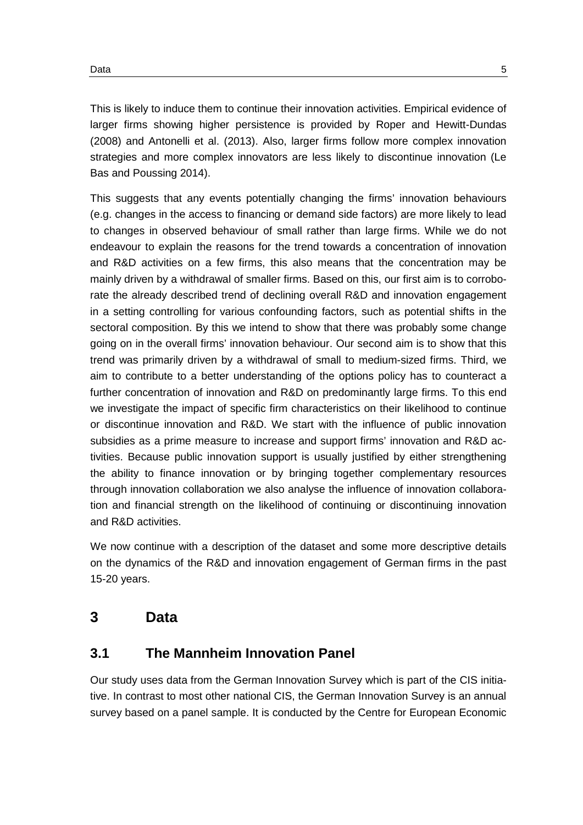This is likely to induce them to continue their innovation activities. Empirical evidence of larger firms showing higher persistence is provided by Roper and Hewitt-Dundas (2008) and Antonelli et al. (2013). Also, larger firms follow more complex innovation strategies and more complex innovators are less likely to discontinue innovation (Le Bas and Poussing 2014).

This suggests that any events potentially changing the firms' innovation behaviours (e.g. changes in the access to financing or demand side factors) are more likely to lead to changes in observed behaviour of small rather than large firms. While we do not endeavour to explain the reasons for the trend towards a concentration of innovation and R&D activities on a few firms, this also means that the concentration may be mainly driven by a withdrawal of smaller firms. Based on this, our first aim is to corroborate the already described trend of declining overall R&D and innovation engagement in a setting controlling for various confounding factors, such as potential shifts in the sectoral composition. By this we intend to show that there was probably some change going on in the overall firms' innovation behaviour. Our second aim is to show that this trend was primarily driven by a withdrawal of small to medium-sized firms. Third, we aim to contribute to a better understanding of the options policy has to counteract a further concentration of innovation and R&D on predominantly large firms. To this end we investigate the impact of specific firm characteristics on their likelihood to continue or discontinue innovation and R&D. We start with the influence of public innovation subsidies as a prime measure to increase and support firms' innovation and R&D activities. Because public innovation support is usually justified by either strengthening the ability to finance innovation or by bringing together complementary resources through innovation collaboration we also analyse the influence of innovation collaboration and financial strength on the likelihood of continuing or discontinuing innovation and R&D activities.

We now continue with a description of the dataset and some more descriptive details on the dynamics of the R&D and innovation engagement of German firms in the past 15-20 years.

## <span id="page-8-0"></span>**3 Data**

### <span id="page-8-1"></span>**3.1 The Mannheim Innovation Panel**

Our study uses data from the German Innovation Survey which is part of the CIS initiative. In contrast to most other national CIS, the German Innovation Survey is an annual survey based on a panel sample. It is conducted by the Centre for European Economic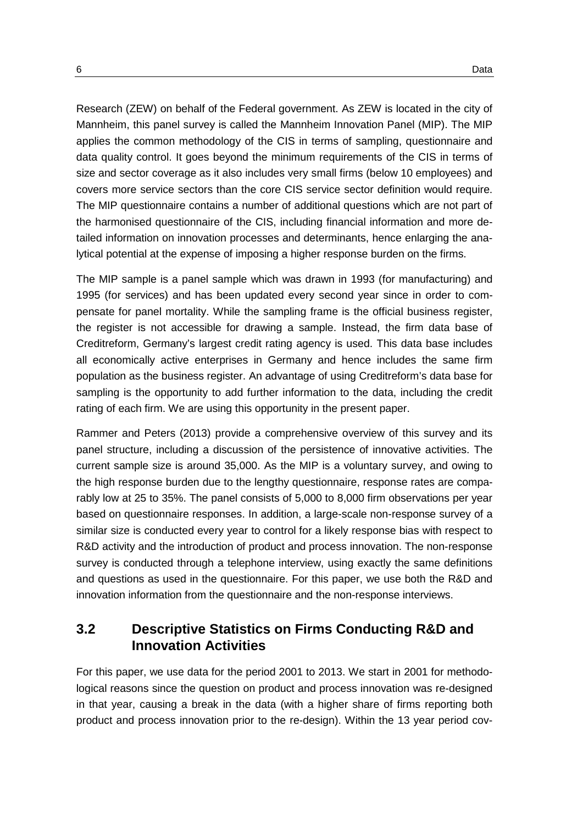Research (ZEW) on behalf of the Federal government. As ZEW is located in the city of Mannheim, this panel survey is called the Mannheim Innovation Panel (MIP). The MIP applies the common methodology of the CIS in terms of sampling, questionnaire and data quality control. It goes beyond the minimum requirements of the CIS in terms of size and sector coverage as it also includes very small firms (below 10 employees) and covers more service sectors than the core CIS service sector definition would require. The MIP questionnaire contains a number of additional questions which are not part of the harmonised questionnaire of the CIS, including financial information and more detailed information on innovation processes and determinants, hence enlarging the analytical potential at the expense of imposing a higher response burden on the firms.

The MIP sample is a panel sample which was drawn in 1993 (for manufacturing) and 1995 (for services) and has been updated every second year since in order to compensate for panel mortality. While the sampling frame is the official business register, the register is not accessible for drawing a sample. Instead, the firm data base of Creditreform, Germany's largest credit rating agency is used. This data base includes all economically active enterprises in Germany and hence includes the same firm population as the business register. An advantage of using Creditreform's data base for sampling is the opportunity to add further information to the data, including the credit rating of each firm. We are using this opportunity in the present paper.

Rammer and Peters (2013) provide a comprehensive overview of this survey and its panel structure, including a discussion of the persistence of innovative activities. The current sample size is around 35,000. As the MIP is a voluntary survey, and owing to the high response burden due to the lengthy questionnaire, response rates are comparably low at 25 to 35%. The panel consists of 5,000 to 8,000 firm observations per year based on questionnaire responses. In addition, a large-scale non-response survey of a similar size is conducted every year to control for a likely response bias with respect to R&D activity and the introduction of product and process innovation. The non-response survey is conducted through a telephone interview, using exactly the same definitions and questions as used in the questionnaire. For this paper, we use both the R&D and innovation information from the questionnaire and the non-response interviews.

### <span id="page-9-0"></span>**3.2 Descriptive Statistics on Firms Conducting R&D and Innovation Activities**

For this paper, we use data for the period 2001 to 2013. We start in 2001 for methodological reasons since the question on product and process innovation was re-designed in that year, causing a break in the data (with a higher share of firms reporting both product and process innovation prior to the re-design). Within the 13 year period cov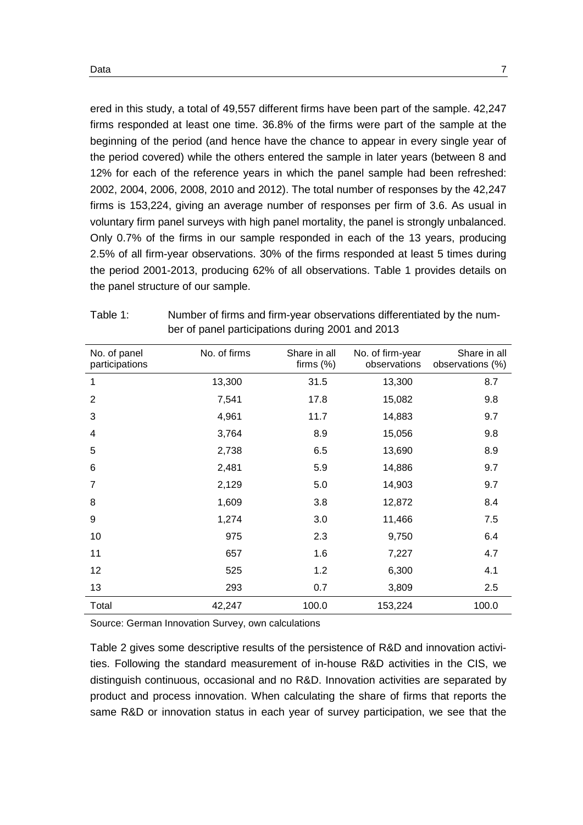ered in this study, a total of 49,557 different firms have been part of the sample. 42,247 firms responded at least one time. 36.8% of the firms were part of the sample at the beginning of the period (and hence have the chance to appear in every single year of the period covered) while the others entered the sample in later years (between 8 and 12% for each of the reference years in which the panel sample had been refreshed: 2002, 2004, 2006, 2008, 2010 and 2012). The total number of responses by the 42,247 firms is 153,224, giving an average number of responses per firm of 3.6. As usual in voluntary firm panel surveys with high panel mortality, the panel is strongly unbalanced. Only 0.7% of the firms in our sample responded in each of the 13 years, producing 2.5% of all firm-year observations. 30% of the firms responded at least 5 times during the period 2001-2013, producing 62% of all observations. [Table 1](#page-10-0) provides details on the panel structure of our sample.

| No. of panel<br>participations | No. of firms | Share in all<br>firms $(\%)$ | No. of firm-year<br>observations | Share in all<br>observations (%) |
|--------------------------------|--------------|------------------------------|----------------------------------|----------------------------------|
| 1                              | 13,300       | 31.5                         | 13,300                           | 8.7                              |
| $\overline{2}$                 | 7,541        | 17.8                         | 15,082                           | 9.8                              |
| 3                              | 4,961        | 11.7                         | 14,883                           | 9.7                              |
| 4                              | 3,764        | 8.9                          | 15,056                           | 9.8                              |
| 5                              | 2,738        | 6.5                          | 13,690                           | 8.9                              |
| 6                              | 2,481        | 5.9                          | 14,886                           | 9.7                              |
| 7                              | 2,129        | 5.0                          | 14,903                           | 9.7                              |
| 8                              | 1,609        | 3.8                          | 12,872                           | 8.4                              |
| 9                              | 1,274        | 3.0                          | 11,466                           | 7.5                              |
| 10                             | 975          | 2.3                          | 9,750                            | 6.4                              |
| 11                             | 657          | 1.6                          | 7,227                            | 4.7                              |
| 12                             | 525          | 1.2                          | 6,300                            | 4.1                              |
| 13                             | 293          | 0.7                          | 3,809                            | 2.5                              |
| Total                          | 42,247       | 100.0                        | 153,224                          | 100.0                            |

<span id="page-10-0"></span>

| Table 1: | Number of firms and firm-year observations differentiated by the num- |
|----------|-----------------------------------------------------------------------|
|          | ber of panel participations during 2001 and 2013                      |

Source: German Innovation Survey, own calculations

[Table 2](#page-11-0) gives some descriptive results of the persistence of R&D and innovation activities. Following the standard measurement of in-house R&D activities in the CIS, we distinguish continuous, occasional and no R&D. Innovation activities are separated by product and process innovation. When calculating the share of firms that reports the same R&D or innovation status in each year of survey participation, we see that the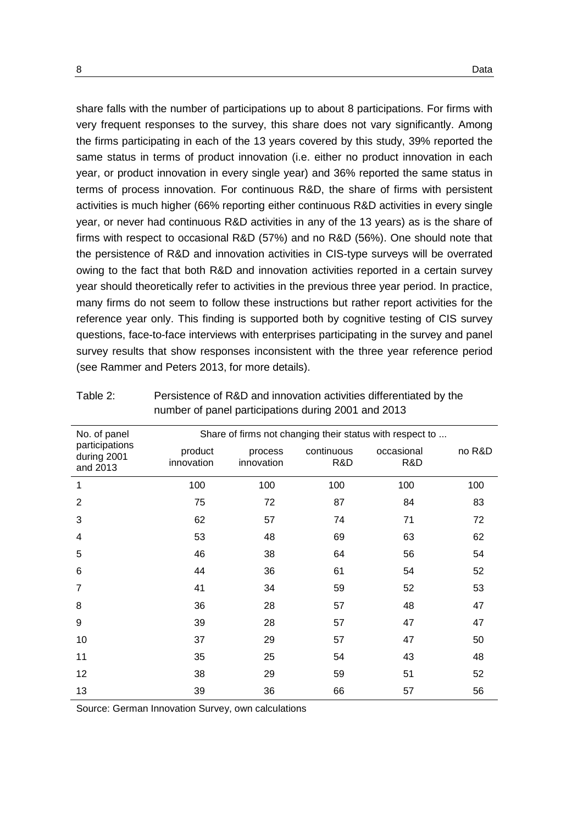share falls with the number of participations up to about 8 participations. For firms with very frequent responses to the survey, this share does not vary significantly. Among the firms participating in each of the 13 years covered by this study, 39% reported the same status in terms of product innovation (i.e. either no product innovation in each year, or product innovation in every single year) and 36% reported the same status in terms of process innovation. For continuous R&D, the share of firms with persistent activities is much higher (66% reporting either continuous R&D activities in every single year, or never had continuous R&D activities in any of the 13 years) as is the share of firms with respect to occasional R&D (57%) and no R&D (56%). One should note that the persistence of R&D and innovation activities in CIS-type surveys will be overrated owing to the fact that both R&D and innovation activities reported in a certain survey year should theoretically refer to activities in the previous three year period. In practice, many firms do not seem to follow these instructions but rather report activities for the reference year only. This finding is supported both by cognitive testing of CIS survey questions, face-to-face interviews with enterprises participating in the survey and panel survey results that show responses inconsistent with the three year reference period (see Rammer and Peters 2013, for more details).

| product<br>innovation | process<br>innovation | continuous<br>R&D | occasional<br>R&D | no R&D                                                   |
|-----------------------|-----------------------|-------------------|-------------------|----------------------------------------------------------|
| 100                   | 100                   | 100               | 100               | 100                                                      |
| 75                    | 72                    | 87                | 84                | 83                                                       |
| 62                    | 57                    | 74                | 71                | 72                                                       |
| 53                    | 48                    | 69                | 63                | 62                                                       |
| 46                    | 38                    | 64                | 56                | 54                                                       |
| 44                    | 36                    | 61                | 54                | 52                                                       |
| 41                    | 34                    | 59                | 52                | 53                                                       |
| 36                    | 28                    | 57                | 48                | 47                                                       |
| 39                    | 28                    | 57                | 47                | 47                                                       |
| 37                    | 29                    | 57                | 47                | 50                                                       |
| 35                    | 25                    | 54                | 43                | 48                                                       |
| 38                    | 29                    | 59                | 51                | 52                                                       |
| 39                    | 36                    | 66                | 57                | 56                                                       |
|                       |                       |                   |                   | Share of firms not changing their status with respect to |

<span id="page-11-0"></span>Table 2: Persistence of R&D and innovation activities differentiated by the number of panel participations during 2001 and 2013

Source: German Innovation Survey, own calculations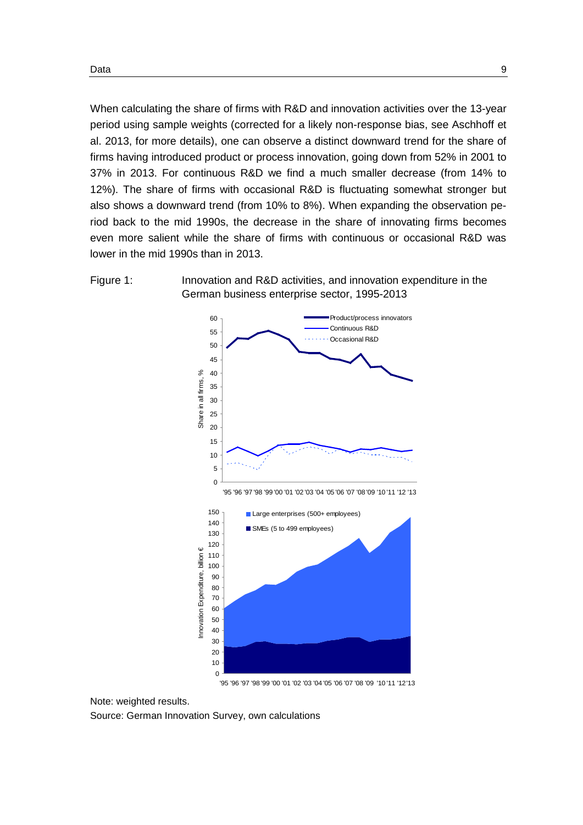When calculating the share of firms with R&D and innovation activities over the 13-year period using sample weights (corrected for a likely non-response bias, see Aschhoff et al. 2013, for more details), one can observe a distinct downward trend for the share of firms having introduced product or process innovation, going down from 52% in 2001 to 37% in 2013. For continuous R&D we find a much smaller decrease (from 14% to 12%). The share of firms with occasional R&D is fluctuating somewhat stronger but also shows a downward trend (from 10% to 8%). When expanding the observation period back to the mid 1990s, the decrease in the share of innovating firms becomes even more salient while the share of firms with continuous or occasional R&D was lower in the mid 1990s than in 2013.

<span id="page-12-0"></span>



'95 '96 '97 '98 '99 '00 '01 '02 '03 '04 '05 '06 '07 '08 '09 '10 '11 '12'13

Note: weighted results. Source: German Innovation Survey, own calculations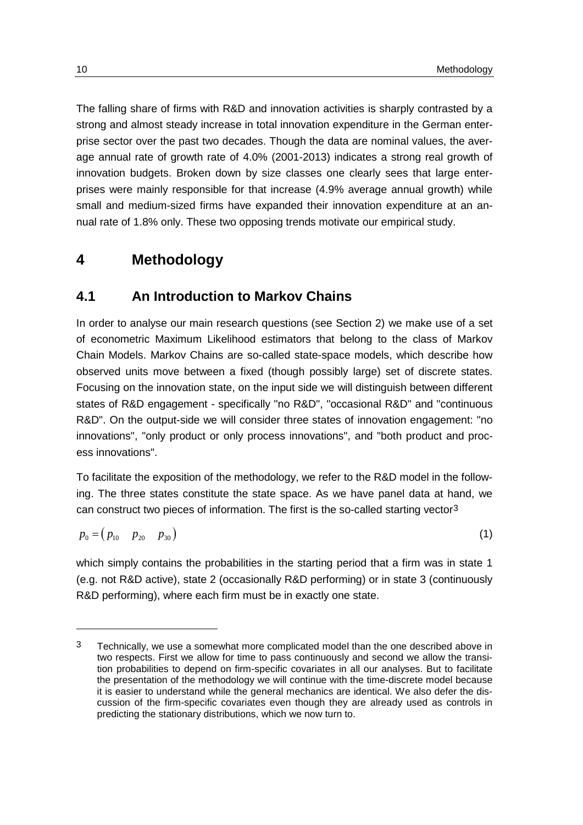The falling share of firms with R&D and innovation activities is sharply contrasted by a strong and almost steady increase in total innovation expenditure in the German enterprise sector over the past two decades. Though the data are nominal values, the average annual rate of growth rate of 4.0% (2001-2013) indicates a strong real growth of innovation budgets. Broken down by size classes one clearly sees that large enterprises were mainly responsible for that increase (4.9% average annual growth) while small and medium-sized firms have expanded their innovation expenditure at an annual rate of 1.8% only. These two opposing trends motivate our empirical study.

### <span id="page-13-0"></span>**4 Methodology**

### <span id="page-13-1"></span>**4.1 An Introduction to Markov Chains**

In order to analyse our main research questions (see Section [2\)](#page-6-0) we make use of a set of econometric Maximum Likelihood estimators that belong to the class of Markov Chain Models. Markov Chains are so-called state-space models, which describe how observed units move between a fixed (though possibly large) set of discrete states. Focusing on the innovation state, on the input side we will distinguish between different states of R&D engagement - specifically "no R&D", "occasional R&D" and "continuous R&D". On the output-side we will consider three states of innovation engagement: "no innovations", "only product or only process innovations", and "both product and process innovations".

To facilitate the exposition of the methodology, we refer to the R&D model in the following. The three states constitute the state space. As we have panel data at hand, we can construct two pieces of information. The first is the so-called starting vector[3](#page-13-2)

$$
p_0 = (p_{10} \quad p_{20} \quad p_{30}) \tag{1}
$$

which simply contains the probabilities in the starting period that a firm was in state 1 (e.g. not R&D active), state 2 (occasionally R&D performing) or in state 3 (continuously R&D performing), where each firm must be in exactly one state.

-

<span id="page-13-2"></span><sup>3</sup> Technically, we use a somewhat more complicated model than the one described above in two respects. First we allow for time to pass continuously and second we allow the transition probabilities to depend on firm-specific covariates in all our analyses. But to facilitate the presentation of the methodology we will continue with the time-discrete model because it is easier to understand while the general mechanics are identical. We also defer the discussion of the firm-specific covariates even though they are already used as controls in predicting the stationary distributions, which we now turn to.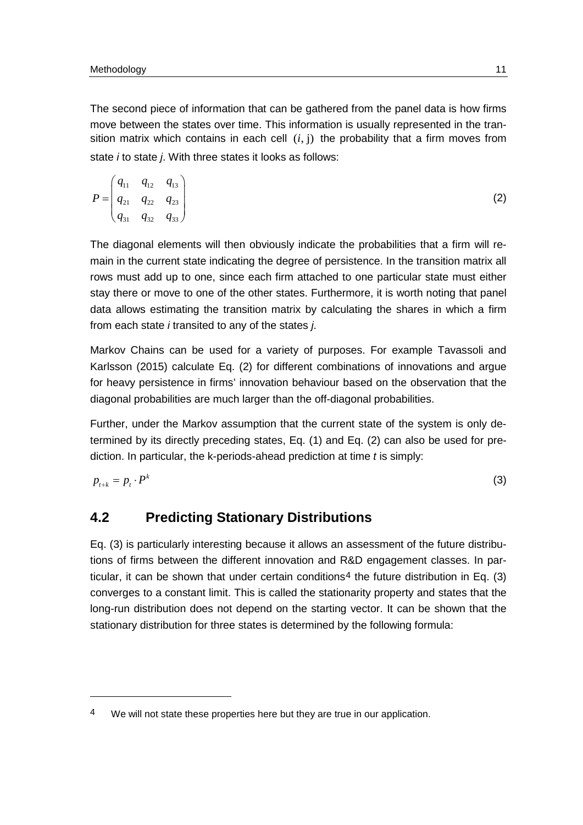$\overline{a}$ 

The second piece of information that can be gathered from the panel data is how firms move between the states over time. This information is usually represented in the transition matrix which contains in each cell  $(i, j)$  the probability that a firm moves from state *i* to state *j*. With three states it looks as follows:

$$
P = \begin{pmatrix} q_{11} & q_{12} & q_{13} \\ q_{21} & q_{22} & q_{23} \\ q_{31} & q_{32} & q_{33} \end{pmatrix}
$$
 (2)

The diagonal elements will then obviously indicate the probabilities that a firm will remain in the current state indicating the degree of persistence. In the transition matrix all rows must add up to one, since each firm attached to one particular state must either stay there or move to one of the other states. Furthermore, it is worth noting that panel data allows estimating the transition matrix by calculating the shares in which a firm from each state *i* transited to any of the states *j*.

Markov Chains can be used for a variety of purposes. For example Tavassoli and Karlsson (2015) calculate Eq. (2) for different combinations of innovations and argue for heavy persistence in firms' innovation behaviour based on the observation that the diagonal probabilities are much larger than the off-diagonal probabilities.

Further, under the Markov assumption that the current state of the system is only determined by its directly preceding states, Eq. (1) and Eq. (2) can also be used for prediction. In particular, the k-periods-ahead prediction at time *t* is simply:

<span id="page-14-0"></span>
$$
p_{t+k} = p_t \cdot P^k \tag{3}
$$

### **4.2 Predicting Stationary Distributions**

Eq. (3) is particularly interesting because it allows an assessment of the future distributions of firms between the different innovation and R&D engagement classes. In par-ticular, it can be shown that under certain conditions<sup>[4](#page-14-1)</sup> the future distribution in Eq.  $(3)$ converges to a constant limit. This is called the stationarity property and states that the long-run distribution does not depend on the starting vector. It can be shown that the stationary distribution for three states is determined by the following formula:

<span id="page-14-1"></span><sup>4</sup> We will not state these properties here but they are true in our application.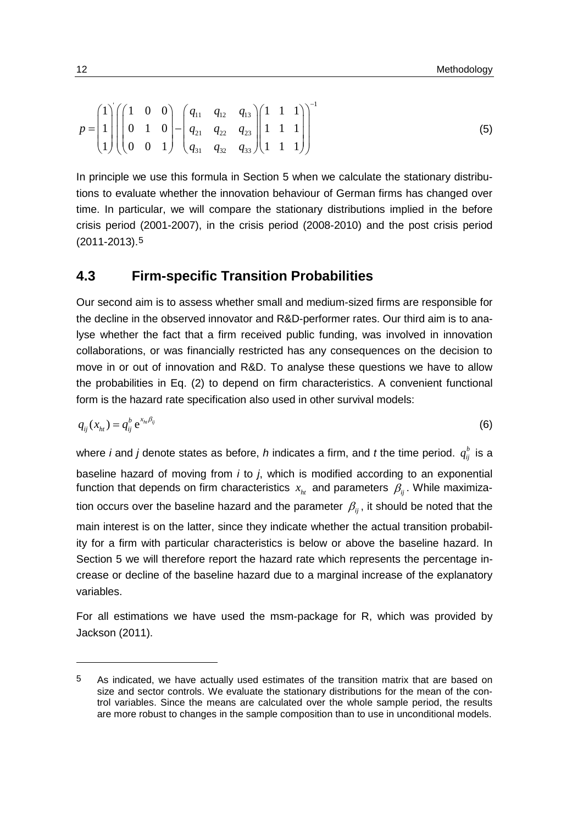$$
p = \begin{pmatrix} 1 \\ 1 \\ 1 \end{pmatrix} \begin{pmatrix} 1 & 0 & 0 \\ 0 & 1 & 0 \\ 0 & 0 & 1 \end{pmatrix} - \begin{pmatrix} q_{11} & q_{12} & q_{13} \\ q_{21} & q_{22} & q_{23} \\ q_{31} & q_{32} & q_{33} \end{pmatrix} \begin{pmatrix} 1 & 1 & 1 \\ 1 & 1 & 1 \\ 1 & 1 & 1 \end{pmatrix}^{-1}
$$
 (5)

 $\sim$   $\sim$   $-1$ 

In principle we use this formula in Section 5 when we calculate the stationary distributions to evaluate whether the innovation behaviour of German firms has changed over time. In particular, we will compare the stationary distributions implied in the before crisis period (2001-2007), in the crisis period (2008-2010) and the post crisis period (2011-2013)[.5](#page-15-1)

#### <span id="page-15-0"></span>**4.3 Firm-specific Transition Probabilities**

Our second aim is to assess whether small and medium-sized firms are responsible for the decline in the observed innovator and R&D-performer rates. Our third aim is to analyse whether the fact that a firm received public funding, was involved in innovation collaborations, or was financially restricted has any consequences on the decision to move in or out of innovation and R&D. To analyse these questions we have to allow the probabilities in Eq. (2) to depend on firm characteristics. A convenient functional form is the hazard rate specification also used in other survival models:

$$
q_{ij}(x_{hi}) = q_{ij}^b e^{x_{hi}\beta_{ij}} \tag{6}
$$

where *i* and *j* denote states as before, *h* indicates a firm, and *t* the time period.  $q_{ij}^b$  is a baseline hazard of moving from *i* to *j*, which is modified according to an exponential function that depends on firm characteristics  $x_{ht}$  and parameters  $\beta_{ii}$ . While maximization occurs over the baseline hazard and the parameter  $\beta_{ii}$ , it should be noted that the main interest is on the latter, since they indicate whether the actual transition probability for a firm with particular characteristics is below or above the baseline hazard. In Section 5 we will therefore report the hazard rate which represents the percentage increase or decline of the baseline hazard due to a marginal increase of the explanatory variables.

For all estimations we have used the msm-package for R, which was provided by Jackson (2011).

-

<span id="page-15-1"></span><sup>5</sup> As indicated, we have actually used estimates of the transition matrix that are based on size and sector controls. We evaluate the stationary distributions for the mean of the control variables. Since the means are calculated over the whole sample period, the results are more robust to changes in the sample composition than to use in unconditional models.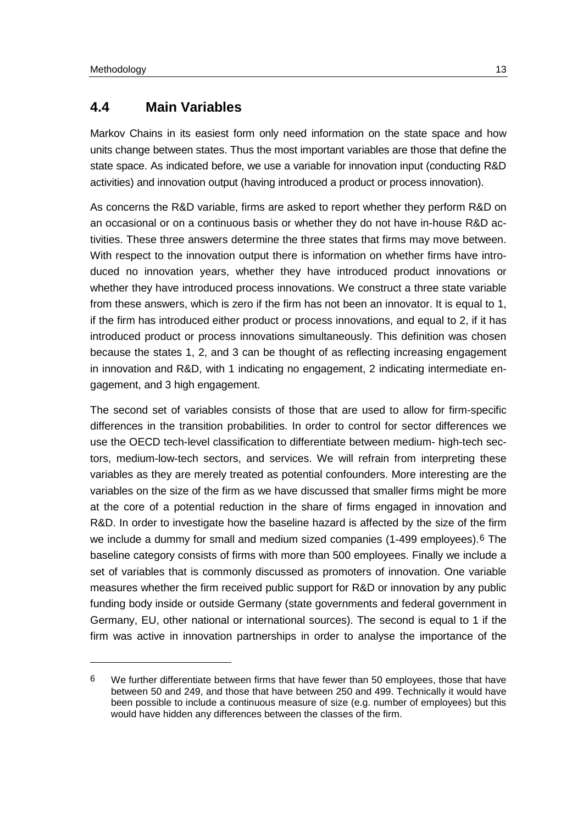$\overline{a}$ 

### <span id="page-16-0"></span>**4.4 Main Variables**

Markov Chains in its easiest form only need information on the state space and how units change between states. Thus the most important variables are those that define the state space. As indicated before, we use a variable for innovation input (conducting R&D activities) and innovation output (having introduced a product or process innovation).

As concerns the R&D variable, firms are asked to report whether they perform R&D on an occasional or on a continuous basis or whether they do not have in-house R&D activities. These three answers determine the three states that firms may move between. With respect to the innovation output there is information on whether firms have introduced no innovation years, whether they have introduced product innovations or whether they have introduced process innovations. We construct a three state variable from these answers, which is zero if the firm has not been an innovator. It is equal to 1, if the firm has introduced either product or process innovations, and equal to 2, if it has introduced product or process innovations simultaneously. This definition was chosen because the states 1, 2, and 3 can be thought of as reflecting increasing engagement in innovation and R&D, with 1 indicating no engagement, 2 indicating intermediate engagement, and 3 high engagement.

The second set of variables consists of those that are used to allow for firm-specific differences in the transition probabilities. In order to control for sector differences we use the OECD tech-level classification to differentiate between medium- high-tech sectors, medium-low-tech sectors, and services. We will refrain from interpreting these variables as they are merely treated as potential confounders. More interesting are the variables on the size of the firm as we have discussed that smaller firms might be more at the core of a potential reduction in the share of firms engaged in innovation and R&D. In order to investigate how the baseline hazard is affected by the size of the firm we include a dummy for small and medium sized companies (1-499 employees).[6](#page-16-1) The baseline category consists of firms with more than 500 employees. Finally we include a set of variables that is commonly discussed as promoters of innovation. One variable measures whether the firm received public support for R&D or innovation by any public funding body inside or outside Germany (state governments and federal government in Germany, EU, other national or international sources). The second is equal to 1 if the firm was active in innovation partnerships in order to analyse the importance of the

<span id="page-16-1"></span> $6$  We further differentiate between firms that have fewer than 50 employees, those that have between 50 and 249, and those that have between 250 and 499. Technically it would have been possible to include a continuous measure of size (e.g. number of employees) but this would have hidden any differences between the classes of the firm.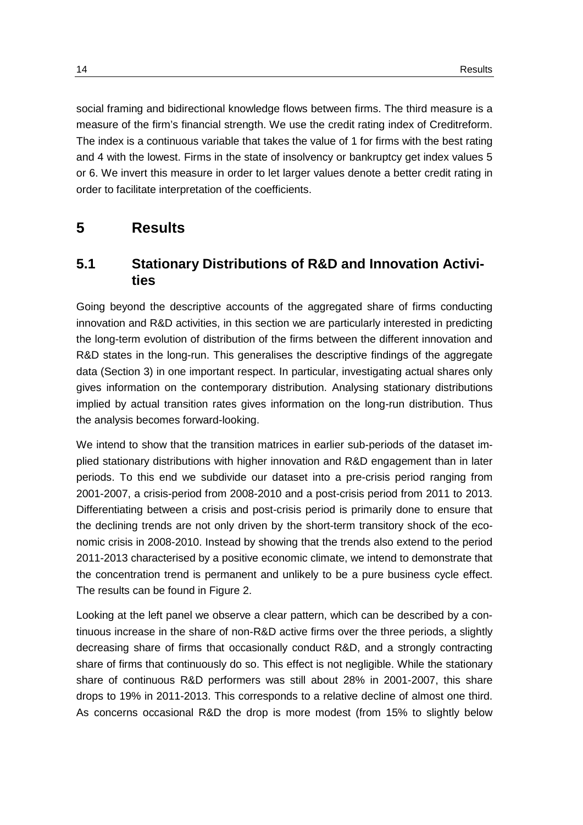social framing and bidirectional knowledge flows between firms. The third measure is a measure of the firm's financial strength. We use the credit rating index of Creditreform. The index is a continuous variable that takes the value of 1 for firms with the best rating and 4 with the lowest. Firms in the state of insolvency or bankruptcy get index values 5 or 6. We invert this measure in order to let larger values denote a better credit rating in order to facilitate interpretation of the coefficients.

## <span id="page-17-0"></span>**5 Results**

### <span id="page-17-1"></span>**5.1 Stationary Distributions of R&D and Innovation Activities**

Going beyond the descriptive accounts of the aggregated share of firms conducting innovation and R&D activities, in this section we are particularly interested in predicting the long-term evolution of distribution of the firms between the different innovation and R&D states in the long-run. This generalises the descriptive findings of the aggregate data (Section [3\)](#page-8-0) in one important respect. In particular, investigating actual shares only gives information on the contemporary distribution. Analysing stationary distributions implied by actual transition rates gives information on the long-run distribution. Thus the analysis becomes forward-looking.

We intend to show that the transition matrices in earlier sub-periods of the dataset implied stationary distributions with higher innovation and R&D engagement than in later periods. To this end we subdivide our dataset into a pre-crisis period ranging from 2001-2007, a crisis-period from 2008-2010 and a post-crisis period from 2011 to 2013. Differentiating between a crisis and post-crisis period is primarily done to ensure that the declining trends are not only driven by the short-term transitory shock of the economic crisis in 2008-2010. Instead by showing that the trends also extend to the period 2011-2013 characterised by a positive economic climate, we intend to demonstrate that the concentration trend is permanent and unlikely to be a pure business cycle effect. The results can be found in [Figure 2.](#page-18-0)

Looking at the left panel we observe a clear pattern, which can be described by a continuous increase in the share of non-R&D active firms over the three periods, a slightly decreasing share of firms that occasionally conduct R&D, and a strongly contracting share of firms that continuously do so. This effect is not negligible. While the stationary share of continuous R&D performers was still about 28% in 2001-2007, this share drops to 19% in 2011-2013. This corresponds to a relative decline of almost one third. As concerns occasional R&D the drop is more modest (from 15% to slightly below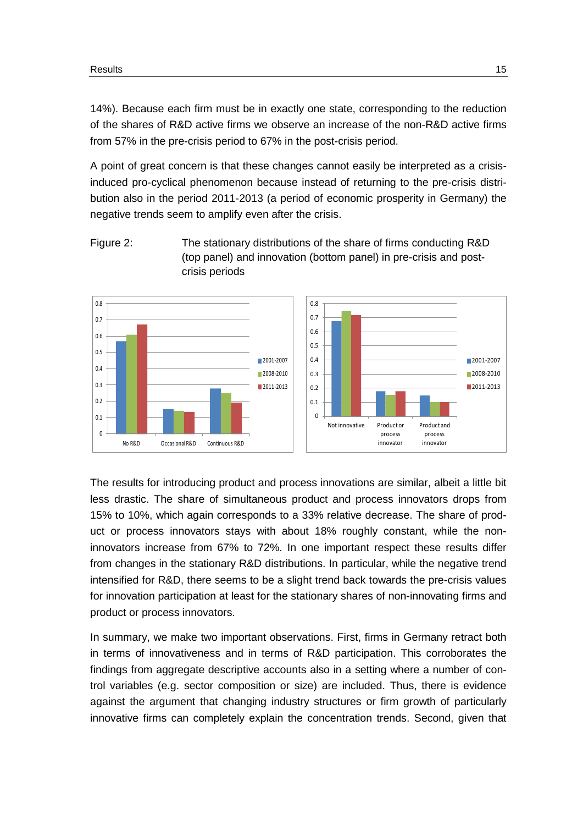14%). Because each firm must be in exactly one state, corresponding to the reduction of the shares of R&D active firms we observe an increase of the non-R&D active firms from 57% in the pre-crisis period to 67% in the post-crisis period.

A point of great concern is that these changes cannot easily be interpreted as a crisisinduced pro-cyclical phenomenon because instead of returning to the pre-crisis distribution also in the period 2011-2013 (a period of economic prosperity in Germany) the negative trends seem to amplify even after the crisis.

<span id="page-18-0"></span>



The results for introducing product and process innovations are similar, albeit a little bit less drastic. The share of simultaneous product and process innovators drops from 15% to 10%, which again corresponds to a 33% relative decrease. The share of product or process innovators stays with about 18% roughly constant, while the noninnovators increase from 67% to 72%. In one important respect these results differ from changes in the stationary R&D distributions. In particular, while the negative trend intensified for R&D, there seems to be a slight trend back towards the pre-crisis values for innovation participation at least for the stationary shares of non-innovating firms and product or process innovators.

In summary, we make two important observations. First, firms in Germany retract both in terms of innovativeness and in terms of R&D participation. This corroborates the findings from aggregate descriptive accounts also in a setting where a number of control variables (e.g. sector composition or size) are included. Thus, there is evidence against the argument that changing industry structures or firm growth of particularly innovative firms can completely explain the concentration trends. Second, given that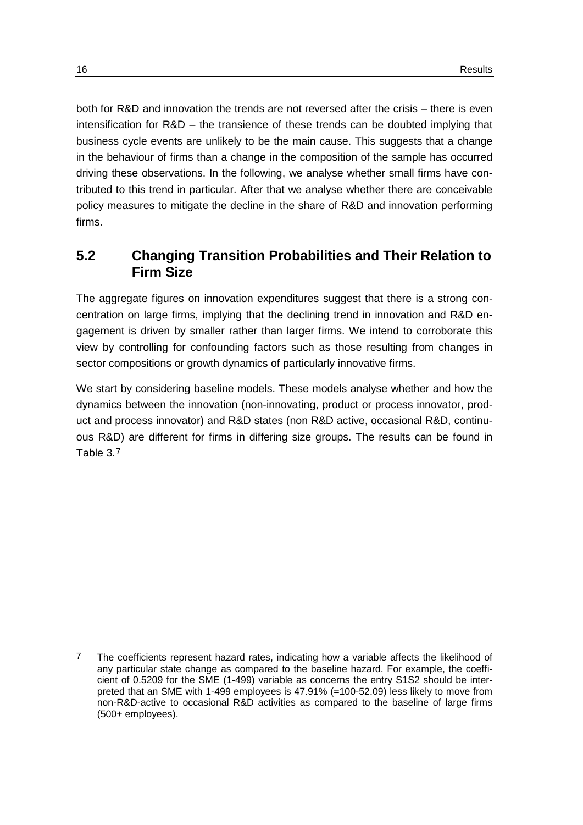both for R&D and innovation the trends are not reversed after the crisis – there is even intensification for R&D – the transience of these trends can be doubted implying that business cycle events are unlikely to be the main cause. This suggests that a change in the behaviour of firms than a change in the composition of the sample has occurred driving these observations. In the following, we analyse whether small firms have contributed to this trend in particular. After that we analyse whether there are conceivable policy measures to mitigate the decline in the share of R&D and innovation performing firms.

### <span id="page-19-0"></span>**5.2 Changing Transition Probabilities and Their Relation to Firm Size**

The aggregate figures on innovation expenditures suggest that there is a strong concentration on large firms, implying that the declining trend in innovation and R&D engagement is driven by smaller rather than larger firms. We intend to corroborate this view by controlling for confounding factors such as those resulting from changes in sector compositions or growth dynamics of particularly innovative firms.

We start by considering baseline models. These models analyse whether and how the dynamics between the innovation (non-innovating, product or process innovator, product and process innovator) and R&D states (non R&D active, occasional R&D, continuous R&D) are different for firms in differing size groups. The results can be found in [Table 3.](#page-20-0)[7](#page-19-1)

-

<span id="page-19-1"></span><sup>7</sup> The coefficients represent hazard rates, indicating how a variable affects the likelihood of any particular state change as compared to the baseline hazard. For example, the coefficient of 0.5209 for the SME (1-499) variable as concerns the entry S1S2 should be interpreted that an SME with 1-499 employees is 47.91% (=100-52.09) less likely to move from non-R&D-active to occasional R&D activities as compared to the baseline of large firms (500+ employees).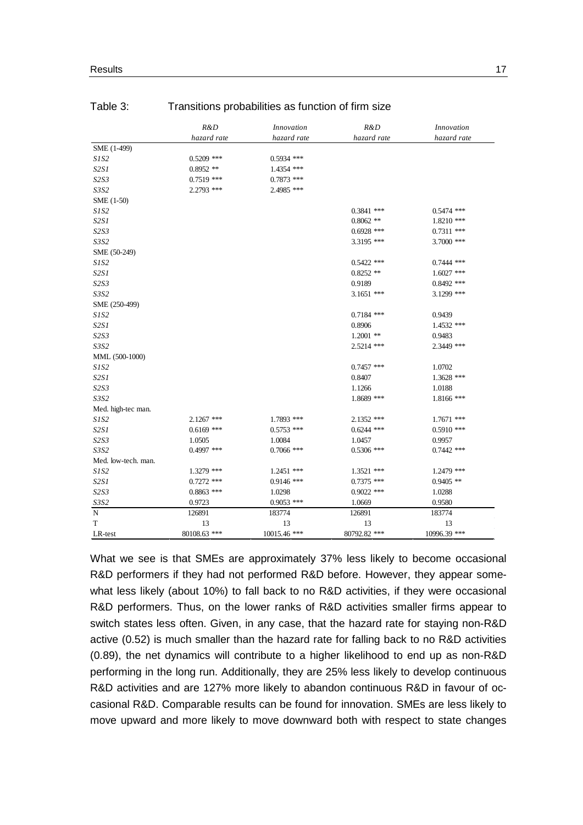|                     | R&D<br>hazard rate | <i>Innovation</i><br>hazard rate | R&D          | <i>Innovation</i><br>hazard rate |
|---------------------|--------------------|----------------------------------|--------------|----------------------------------|
|                     |                    |                                  | hazard rate  |                                  |
| SME (1-499)         |                    |                                  |              |                                  |
| SIS2                | $0.5209$ ***       | $0.5934$ ***                     |              |                                  |
| S2S1                | $0.8952**$         | 1.4354 ***                       |              |                                  |
| S2S3                | $0.7519$ ***       | $0.7873$ ***                     |              |                                  |
| S3S2                | 2.2793 ***         | 2.4985 ***                       |              |                                  |
| SME (1-50)          |                    |                                  |              |                                  |
| S1S2                |                    |                                  | $0.3841$ *** | $0.5474$ ***                     |
| S2S1                |                    |                                  | $0.8062$ **  | $1.8210$ ***                     |
| S2S3                |                    |                                  | $0.6928$ *** | $0.7311$ ***                     |
| S3S2                |                    |                                  | 3.3195 ***   | $3.7000$ ***                     |
| SME (50-249)        |                    |                                  |              |                                  |
| SIS2                |                    |                                  | $0.5422$ *** | $0.7444$ ***                     |
| S2S1                |                    |                                  | $0.8252$ **  | $1.6027$ ***                     |
| S2S3                |                    |                                  | 0.9189       | $0.8492$ ***                     |
| S3S2                |                    |                                  | $3.1651$ *** | 3.1299 ***                       |
| SME (250-499)       |                    |                                  |              |                                  |
| SIS2                |                    |                                  | $0.7184$ *** | 0.9439                           |
| S2SI                |                    |                                  | 0.8906       | 1.4532 ***                       |
| S2S3                |                    |                                  | $1.2001$ **  | 0.9483                           |
| S3S2                |                    |                                  | 2.5214 ***   | 2.3449 ***                       |
| MML (500-1000)      |                    |                                  |              |                                  |
| <i>S1S2</i>         |                    |                                  | $0.7457$ *** | 1.0702                           |
| S2S1                |                    |                                  | 0.8407       | $1.3628$ ***                     |
| S2S3                |                    |                                  | 1.1266       | 1.0188                           |
| S3S2                |                    |                                  | 1.8689 ***   | $1.8166$ ***                     |
| Med. high-tec man.  |                    |                                  |              |                                  |
| SIS2                | $2.1267$ ***       | 1.7893 ***                       | $2.1352$ *** | $1.7671$ ***                     |
| S2S1                | $0.6169$ ***       | $0.5753$ ***                     | $0.6244$ *** | $0.5910$ ***                     |
| S2S3                | 1.0505             | 1.0084                           | 1.0457       | 0.9957                           |
| S3S2                | $0.4997$ ***       | $0.7066$ ***                     | $0.5306$ *** | $0.7442$ ***                     |
| Med. low-tech. man. |                    |                                  |              |                                  |
| S1S2                | 1.3279 ***         | $1.2451$ ***                     | $1.3521$ *** | $1.2479$ ***                     |
| S2S1                | $0.7272$ ***       | $0.9146$ ***                     | $0.7375$ *** | $0.9405$ **                      |
| S2S3                | $0.8863$ ***       | 1.0298                           | $0.9022$ *** | 1.0288                           |
| S3S2                | 0.9723             | $0.9053$ ***                     | 1.0669       | 0.9580                           |
| N                   | 126891             | 183774                           | 126891       | 183774                           |
| $\mathbf T$         | 13                 | 13                               | 13           | 13                               |
| LR-test             | 80108.63 ***       | 10015.46 ***                     | 80792.82 *** | 10996.39 ***                     |

#### <span id="page-20-0"></span>Table 3: Transitions probabilities as function of firm size

What we see is that SMEs are approximately 37% less likely to become occasional R&D performers if they had not performed R&D before. However, they appear somewhat less likely (about 10%) to fall back to no R&D activities, if they were occasional R&D performers. Thus, on the lower ranks of R&D activities smaller firms appear to switch states less often. Given, in any case, that the hazard rate for staying non-R&D active (0.52) is much smaller than the hazard rate for falling back to no R&D activities (0.89), the net dynamics will contribute to a higher likelihood to end up as non-R&D performing in the long run. Additionally, they are 25% less likely to develop continuous R&D activities and are 127% more likely to abandon continuous R&D in favour of occasional R&D. Comparable results can be found for innovation. SMEs are less likely to move upward and more likely to move downward both with respect to state changes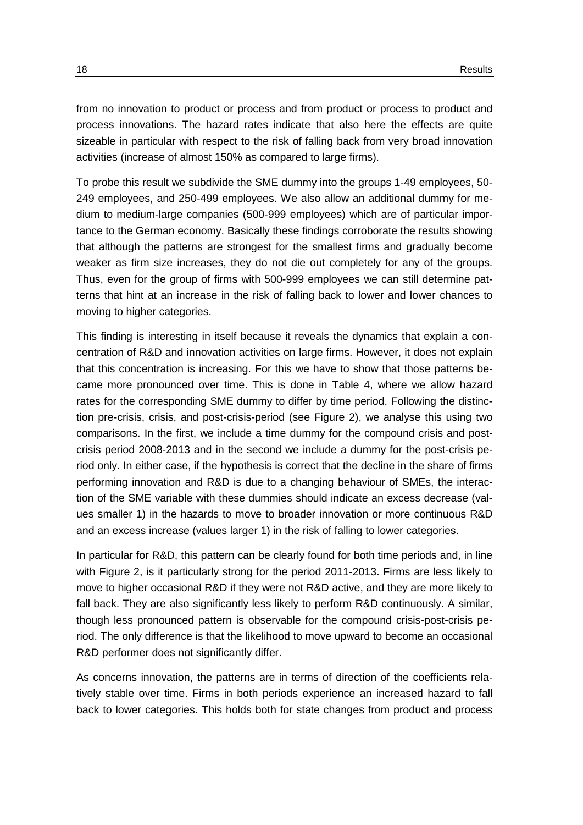from no innovation to product or process and from product or process to product and process innovations. The hazard rates indicate that also here the effects are quite sizeable in particular with respect to the risk of falling back from very broad innovation activities (increase of almost 150% as compared to large firms).

To probe this result we subdivide the SME dummy into the groups 1-49 employees, 50- 249 employees, and 250-499 employees. We also allow an additional dummy for medium to medium-large companies (500-999 employees) which are of particular importance to the German economy. Basically these findings corroborate the results showing that although the patterns are strongest for the smallest firms and gradually become weaker as firm size increases, they do not die out completely for any of the groups. Thus, even for the group of firms with 500-999 employees we can still determine patterns that hint at an increase in the risk of falling back to lower and lower chances to moving to higher categories.

This finding is interesting in itself because it reveals the dynamics that explain a concentration of R&D and innovation activities on large firms. However, it does not explain that this concentration is increasing. For this we have to show that those patterns became more pronounced over time. This is done in [Table 4,](#page-22-0) where we allow hazard rates for the corresponding SME dummy to differ by time period. Following the distinction pre-crisis, crisis, and post-crisis-period (see [Figure 2\)](#page-18-0), we analyse this using two comparisons. In the first, we include a time dummy for the compound crisis and postcrisis period 2008-2013 and in the second we include a dummy for the post-crisis period only. In either case, if the hypothesis is correct that the decline in the share of firms performing innovation and R&D is due to a changing behaviour of SMEs, the interaction of the SME variable with these dummies should indicate an excess decrease (values smaller 1) in the hazards to move to broader innovation or more continuous R&D and an excess increase (values larger 1) in the risk of falling to lower categories.

In particular for R&D, this pattern can be clearly found for both time periods and, in line with [Figure 2,](#page-18-0) is it particularly strong for the period 2011-2013. Firms are less likely to move to higher occasional R&D if they were not R&D active, and they are more likely to fall back. They are also significantly less likely to perform R&D continuously. A similar, though less pronounced pattern is observable for the compound crisis-post-crisis period. The only difference is that the likelihood to move upward to become an occasional R&D performer does not significantly differ.

As concerns innovation, the patterns are in terms of direction of the coefficients relatively stable over time. Firms in both periods experience an increased hazard to fall back to lower categories. This holds both for state changes from product and process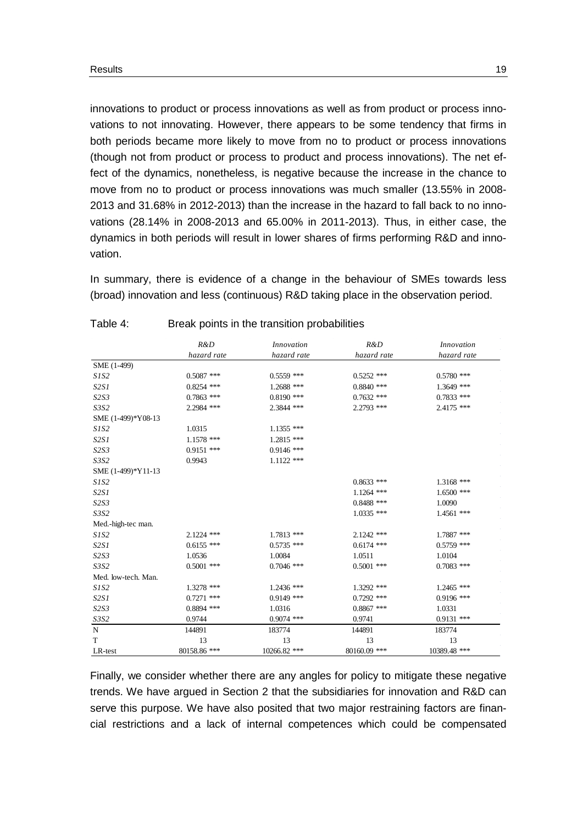innovations to product or process innovations as well as from product or process innovations to not innovating. However, there appears to be some tendency that firms in both periods became more likely to move from no to product or process innovations (though not from product or process to product and process innovations). The net effect of the dynamics, nonetheless, is negative because the increase in the chance to move from no to product or process innovations was much smaller (13.55% in 2008- 2013 and 31.68% in 2012-2013) than the increase in the hazard to fall back to no innovations (28.14% in 2008-2013 and 65.00% in 2011-2013). Thus, in either case, the dynamics in both periods will result in lower shares of firms performing R&D and innovation.

In summary, there is evidence of a change in the behaviour of SMEs towards less (broad) innovation and less (continuous) R&D taking place in the observation period.

|                     | R&D          | Innovation   | R&D          | <i>Innovation</i> |
|---------------------|--------------|--------------|--------------|-------------------|
|                     | hazard rate  | hazard rate  | hazard rate  | hazard rate       |
| SME (1-499)         |              |              |              |                   |
| SIS2                | $0.5087$ *** | $0.5559$ *** | $0.5252$ *** | $0.5780$ ***      |
| S2S1                | $0.8254$ *** | 1.2688 ***   | $0.8840$ *** | $1.3649$ ***      |
| S2S3                | $0.7863$ *** | $0.8190$ *** | $0.7632$ *** | $0.7833$ ***      |
| S3S2                | 2.2984 ***   | 2.3844 ***   | $2.2793$ *** | $2.4175$ ***      |
| SME (1-499)*Y08-13  |              |              |              |                   |
| SIS2                | 1.0315       | 1.1355 ***   |              |                   |
| S2S1                | $1.1578$ *** | $1.2815$ *** |              |                   |
| S2S3                | $0.9151$ *** | $0.9146$ *** |              |                   |
| S3S2                | 0.9943       | $1.1122$ *** |              |                   |
| SME (1-499)*Y11-13  |              |              |              |                   |
| SIS2                |              |              | $0.8633$ *** | $1.3168$ ***      |
| S2S1                |              |              | $1.1264$ *** | $1.6500$ ***      |
| S2S3                |              |              | $0.8488$ *** | 1.0090            |
| S3S2                |              |              | $1.0335$ *** | $1.4561$ ***      |
| Med.-high-tec man.  |              |              |              |                   |
| SIS2                | $2.1224$ *** | $1.7813$ *** | $2.1242$ *** | 1.7887 ***        |
| S2S1                | $0.6155$ *** | $0.5735$ *** | $0.6174$ *** | $0.5759$ ***      |
| S2S3                | 1.0536       | 1.0084       | 1.0511       | 1.0104            |
| S3S2                | $0.5001$ *** | $0.7046$ *** | $0.5001$ *** | $0.7083$ ***      |
| Med. low-tech. Man. |              |              |              |                   |
| SIS2                | 1.3278 ***   | 1.2436 ***   | 1.3292 ***   | $1.2465$ ***      |
| S2S1                | $0.7271$ *** | $0.9149$ *** | $0.7292$ *** | $0.9196$ ***      |
| S2S3                | $0.8894$ *** | 1.0316       | $0.8867$ *** | 1.0331            |
| S3S2                | 0.9744       | $0.9074$ *** | 0.9741       | $0.9131$ ***      |
| N                   | 144891       | 183774       | 144891       | 183774            |
| T                   | 13           | 13           | 13           | 13                |
| LR-test             | 80158.86 *** | 10266.82 *** | 80160.09 *** | 10389.48 ***      |

#### <span id="page-22-0"></span>Table 4: Break points in the transition probabilities

Finally, we consider whether there are any angles for policy to mitigate these negative trends. We have argued in Section [2](#page-6-0) that the subsidiaries for innovation and R&D can serve this purpose. We have also posited that two major restraining factors are financial restrictions and a lack of internal competences which could be compensated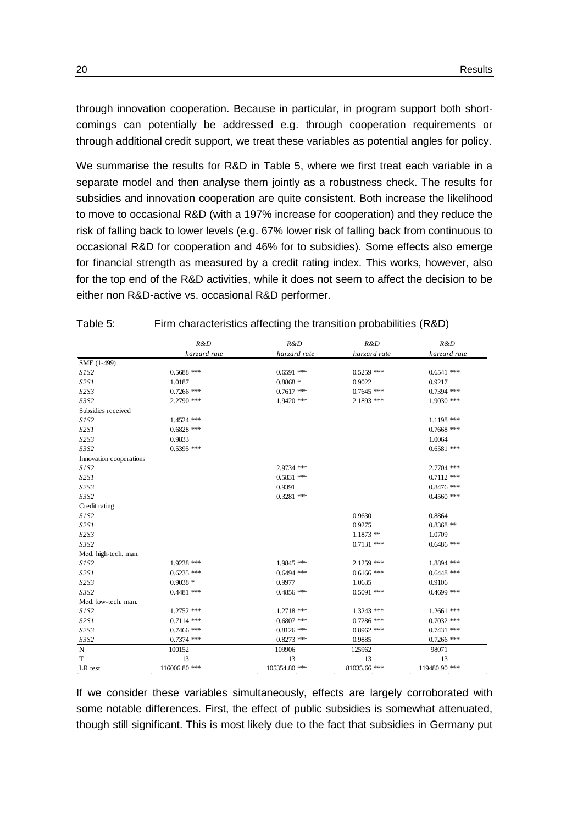through innovation cooperation. Because in particular, in program support both shortcomings can potentially be addressed e.g. through cooperation requirements or through additional credit support, we treat these variables as potential angles for policy.

We summarise the results for R&D in [Table 5,](#page-23-0) where we first treat each variable in a separate model and then analyse them jointly as a robustness check. The results for subsidies and innovation cooperation are quite consistent. Both increase the likelihood to move to occasional R&D (with a 197% increase for cooperation) and they reduce the risk of falling back to lower levels (e.g. 67% lower risk of falling back from continuous to occasional R&D for cooperation and 46% for to subsidies). Some effects also emerge for financial strength as measured by a credit rating index. This works, however, also for the top end of the R&D activities, while it does not seem to affect the decision to be either non R&D-active vs. occasional R&D performer.

|                         | R&D           | R&D           | R&D          | R&D           |
|-------------------------|---------------|---------------|--------------|---------------|
|                         | harzard rate  | harzard rate  | harzard rate | harzard rate  |
| SME (1-499)             |               |               |              |               |
| S1S2                    | $0.5688$ ***  | $0.6591$ ***  | $0.5259$ *** | $0.6541$ ***  |
| S2SI                    | 1.0187        | $0.8868*$     | 0.9022       | 0.9217        |
| S2S3                    | $0.7266$ ***  | $0.7617$ ***  | $0.7645$ *** | $0.7394$ ***  |
| S3S2                    | $2.2790$ ***  | $1.9420$ ***  | $2.1893$ *** | $1.9030$ ***  |
| Subsidies received      |               |               |              |               |
| <i>S1S2</i>             | 1.4524 ***    |               |              | $1.1198$ ***  |
| S2SI                    | $0.6828$ ***  |               |              | $0.7668$ ***  |
| S2S3                    | 0.9833        |               |              | 1.0064        |
| S3S2                    | $0.5395$ ***  |               |              | $0.6581$ ***  |
| Innovation cooperations |               |               |              |               |
| S1S2                    |               | 2.9734 ***    |              | 2.7704 ***    |
| S2SI                    |               | $0.5831$ ***  |              | $0.7112$ ***  |
| S2S3                    |               | 0.9391        |              | $0.8476$ ***  |
| S3S2                    |               | $0.3281$ ***  |              | $0.4560$ ***  |
| Credit rating           |               |               |              |               |
| S1S2                    |               |               | 0.9630       | 0.8864        |
| S2SI                    |               |               | 0.9275       | $0.8368$ **   |
| S2S3                    |               |               | $1.1873$ **  | 1.0709        |
| S3S2                    |               |               | $0.7131$ *** | $0.6486$ ***  |
| Med. high-tech. man.    |               |               |              |               |
| S1S2                    | 1.9238 ***    | 1.9845 ***    | 2.1259 ***   | 1.8894 ***    |
| S2SI                    | $0.6235$ ***  | $0.6494$ ***  | $0.6166$ *** | $0.6448$ ***  |
| S2S3                    | $0.9038*$     | 0.9977        | 1.0635       | 0.9106        |
| S3S2                    | $0.4481$ ***  | $0.4856$ ***  | $0.5091$ *** | $0.4699$ ***  |
| Med. low-tech. man.     |               |               |              |               |
| S1S2                    | 1.2752 ***    | $1.2718$ ***  | $1.3243$ *** | $1.2661$ ***  |
| S2SI                    | $0.7114$ ***  | $0.6807$ ***  | $0.7286$ *** | $0.7032$ ***  |
| S2S3                    | $0.7466$ ***  | $0.8126$ ***  | $0.8962$ *** | $0.7431$ ***  |
| S3S2                    | $0.7374$ ***  | $0.8273$ ***  | 0.9885       | $0.7266$ ***  |
| N                       | 100152        | 109906        | 125962       | 98071         |
| T                       | 13            | 13            | 13           | 13            |
| LR test                 | 116006.80 *** | 105354.80 *** | 81035.66 *** | 119480.90 *** |

<span id="page-23-0"></span>Table 5: Firm characteristics affecting the transition probabilities (R&D)

If we consider these variables simultaneously, effects are largely corroborated with some notable differences. First, the effect of public subsidies is somewhat attenuated, though still significant. This is most likely due to the fact that subsidies in Germany put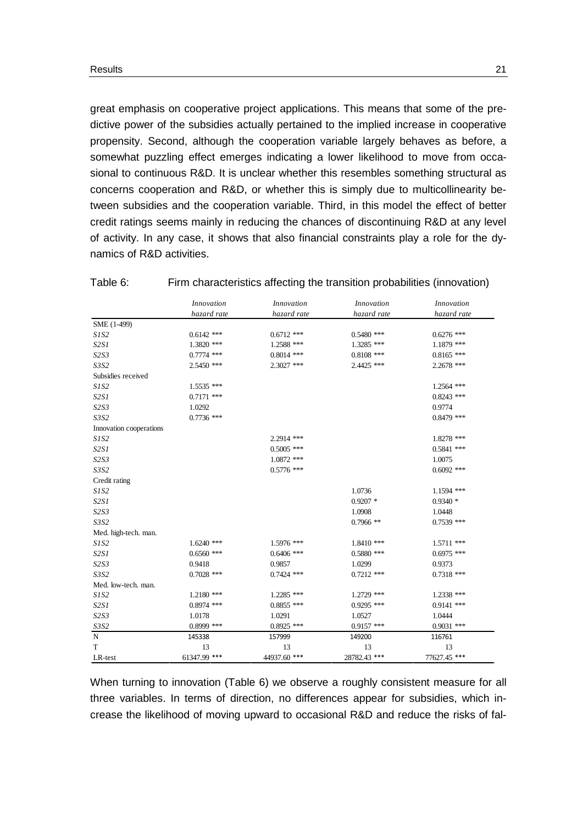great emphasis on cooperative project applications. This means that some of the predictive power of the subsidies actually pertained to the implied increase in cooperative propensity. Second, although the cooperation variable largely behaves as before, a somewhat puzzling effect emerges indicating a lower likelihood to move from occasional to continuous R&D. It is unclear whether this resembles something structural as concerns cooperation and R&D, or whether this is simply due to multicollinearity between subsidies and the cooperation variable. Third, in this model the effect of better credit ratings seems mainly in reducing the chances of discontinuing R&D at any level of activity. In any case, it shows that also financial constraints play a role for the dynamics of R&D activities.

|                         | Innovation   | <i>Innovation</i> | Innovation   | <i>Innovation</i> |
|-------------------------|--------------|-------------------|--------------|-------------------|
|                         | hazard rate  | hazard rate       | hazard rate  | hazard rate       |
| SME (1-499)             |              |                   |              |                   |
| SIS2                    | $0.6142$ *** | $0.6712$ ***      | $0.5480$ *** | $0.6276$ ***      |
| S2SI                    | $1.3820$ *** | 1.2588 ***        | 1.3285 ***   | 1.1879 ***        |
| S2S3                    | $0.7774$ *** | $0.8014$ ***      | $0.8108$ *** | $0.8165$ ***      |
| S3S2                    | $2.5450$ *** | $2.3027$ ***      | 2.4425 ***   | 2.2678 ***        |
| Subsidies received      |              |                   |              |                   |
| SIS2                    | 1.5535 ***   |                   |              | $1.2564$ ***      |
| S2SI                    | $0.7171$ *** |                   |              | $0.8243$ ***      |
| S2S3                    | 1.0292       |                   |              | 0.9774            |
| S3S2                    | $0.7736$ *** |                   |              | $0.8479$ ***      |
| Innovation cooperations |              |                   |              |                   |
| S1S2                    |              | 2.2914 ***        |              | 1.8278 ***        |
| S2S1                    |              | $0.5005$ ***      |              | $0.5841$ ***      |
| S2S3                    |              | $1.0872$ ***      |              | 1.0075            |
| S3S2                    |              | $0.5776$ ***      |              | $0.6092$ ***      |
| Credit rating           |              |                   |              |                   |
| SIS2                    |              |                   | 1.0736       | 1.1594 ***        |
| S2S1                    |              |                   | $0.9207$ *   | $0.9340*$         |
| S2S3                    |              |                   | 1.0908       | 1.0448            |
| S3S2                    |              |                   | $0.7966$ **  | $0.7539$ ***      |
| Med. high-tech. man.    |              |                   |              |                   |
| S1S2                    | $1.6240$ *** | 1.5976 ***        | 1.8410 ***   | 1.5711 ***        |
| S2SI                    | $0.6560$ *** | $0.6406$ ***      | $0.5880$ *** | $0.6975$ ***      |
| S2S3                    | 0.9418       | 0.9857            | 1.0299       | 0.9373            |
| S3S2                    | $0.7028$ *** | $0.7424$ ***      | $0.7212$ *** | $0.7318$ ***      |
| Med. low-tech. man.     |              |                   |              |                   |
| SIS2                    | $1.2180$ *** | $1.2285$ ***      | $1.2729$ *** | $1.2338$ ***      |
| S2S1                    | $0.8974$ *** | $0.8855$ ***      | $0.9295$ *** | $0.9141$ ***      |
| S2S3                    | 1.0178       | 1.0291            | 1.0527       | 1.0444            |
| S3S2                    | $0.8999$ *** | $0.8925$ ***      | $0.9157$ *** | $0.9031$ ***      |
| $_{\rm N}$              | 145338       | 157999            | 149200       | 116761            |
| $\mathbf T$             | 13           | 13                | 13           | 13                |
| LR-test                 | 61347.99 *** | 44937.60 ***      | 28782.43 *** | 77627.45 ***      |

#### <span id="page-24-0"></span>Table 6: Firm characteristics affecting the transition probabilities (innovation)

When turning to innovation [\(Table 6\)](#page-24-0) we observe a roughly consistent measure for all three variables. In terms of direction, no differences appear for subsidies, which increase the likelihood of moving upward to occasional R&D and reduce the risks of fal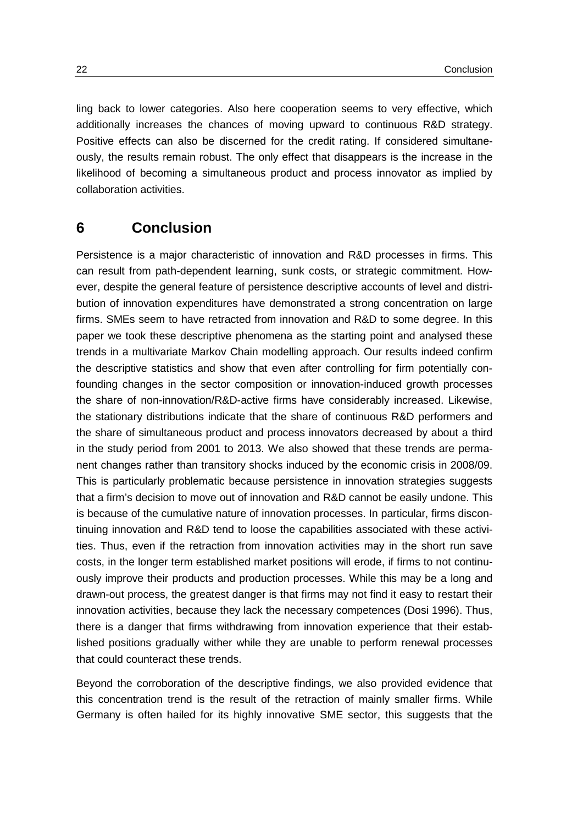ling back to lower categories. Also here cooperation seems to very effective, which additionally increases the chances of moving upward to continuous R&D strategy. Positive effects can also be discerned for the credit rating. If considered simultaneously, the results remain robust. The only effect that disappears is the increase in the likelihood of becoming a simultaneous product and process innovator as implied by collaboration activities.

### <span id="page-25-0"></span>**6 Conclusion**

Persistence is a major characteristic of innovation and R&D processes in firms. This can result from path-dependent learning, sunk costs, or strategic commitment. However, despite the general feature of persistence descriptive accounts of level and distribution of innovation expenditures have demonstrated a strong concentration on large firms. SMEs seem to have retracted from innovation and R&D to some degree. In this paper we took these descriptive phenomena as the starting point and analysed these trends in a multivariate Markov Chain modelling approach. Our results indeed confirm the descriptive statistics and show that even after controlling for firm potentially confounding changes in the sector composition or innovation-induced growth processes the share of non-innovation/R&D-active firms have considerably increased. Likewise, the stationary distributions indicate that the share of continuous R&D performers and the share of simultaneous product and process innovators decreased by about a third in the study period from 2001 to 2013. We also showed that these trends are permanent changes rather than transitory shocks induced by the economic crisis in 2008/09. This is particularly problematic because persistence in innovation strategies suggests that a firm's decision to move out of innovation and R&D cannot be easily undone. This is because of the cumulative nature of innovation processes. In particular, firms discontinuing innovation and R&D tend to loose the capabilities associated with these activities. Thus, even if the retraction from innovation activities may in the short run save costs, in the longer term established market positions will erode, if firms to not continuously improve their products and production processes. While this may be a long and drawn-out process, the greatest danger is that firms may not find it easy to restart their innovation activities, because they lack the necessary competences (Dosi 1996). Thus, there is a danger that firms withdrawing from innovation experience that their established positions gradually wither while they are unable to perform renewal processes that could counteract these trends.

Beyond the corroboration of the descriptive findings, we also provided evidence that this concentration trend is the result of the retraction of mainly smaller firms. While Germany is often hailed for its highly innovative SME sector, this suggests that the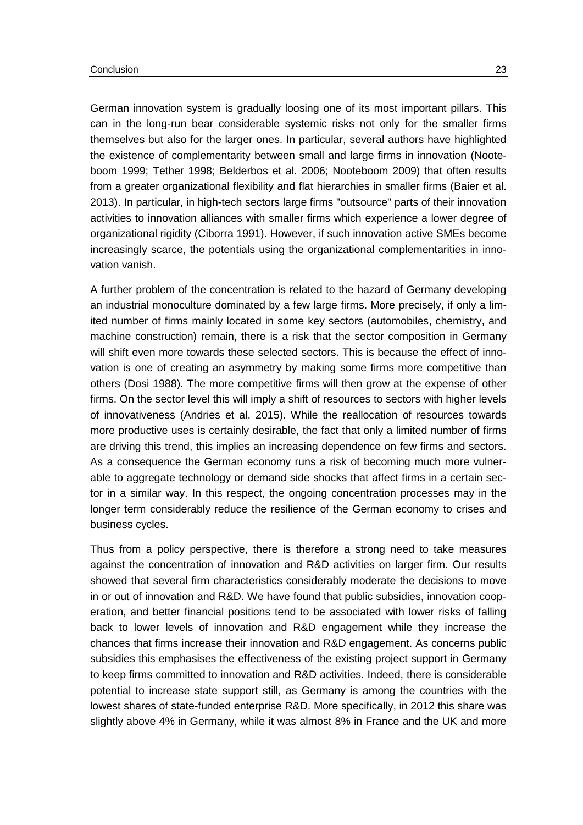German innovation system is gradually loosing one of its most important pillars. This can in the long-run bear considerable systemic risks not only for the smaller firms themselves but also for the larger ones. In particular, several authors have highlighted the existence of complementarity between small and large firms in innovation (Nooteboom 1999; Tether 1998; Belderbos et al. 2006; Nooteboom 2009) that often results from a greater organizational flexibility and flat hierarchies in smaller firms (Baier et al. 2013). In particular, in high-tech sectors large firms "outsource" parts of their innovation activities to innovation alliances with smaller firms which experience a lower degree of organizational rigidity (Ciborra 1991). However, if such innovation active SMEs become increasingly scarce, the potentials using the organizational complementarities in innovation vanish.

A further problem of the concentration is related to the hazard of Germany developing an industrial monoculture dominated by a few large firms. More precisely, if only a limited number of firms mainly located in some key sectors (automobiles, chemistry, and machine construction) remain, there is a risk that the sector composition in Germany will shift even more towards these selected sectors. This is because the effect of innovation is one of creating an asymmetry by making some firms more competitive than others (Dosi 1988). The more competitive firms will then grow at the expense of other firms. On the sector level this will imply a shift of resources to sectors with higher levels of innovativeness (Andries et al. 2015). While the reallocation of resources towards more productive uses is certainly desirable, the fact that only a limited number of firms are driving this trend, this implies an increasing dependence on few firms and sectors. As a consequence the German economy runs a risk of becoming much more vulnerable to aggregate technology or demand side shocks that affect firms in a certain sector in a similar way. In this respect, the ongoing concentration processes may in the longer term considerably reduce the resilience of the German economy to crises and business cycles.

Thus from a policy perspective, there is therefore a strong need to take measures against the concentration of innovation and R&D activities on larger firm. Our results showed that several firm characteristics considerably moderate the decisions to move in or out of innovation and R&D. We have found that public subsidies, innovation cooperation, and better financial positions tend to be associated with lower risks of falling back to lower levels of innovation and R&D engagement while they increase the chances that firms increase their innovation and R&D engagement. As concerns public subsidies this emphasises the effectiveness of the existing project support in Germany to keep firms committed to innovation and R&D activities. Indeed, there is considerable potential to increase state support still, as Germany is among the countries with the lowest shares of state-funded enterprise R&D. More specifically, in 2012 this share was slightly above 4% in Germany, while it was almost 8% in France and the UK and more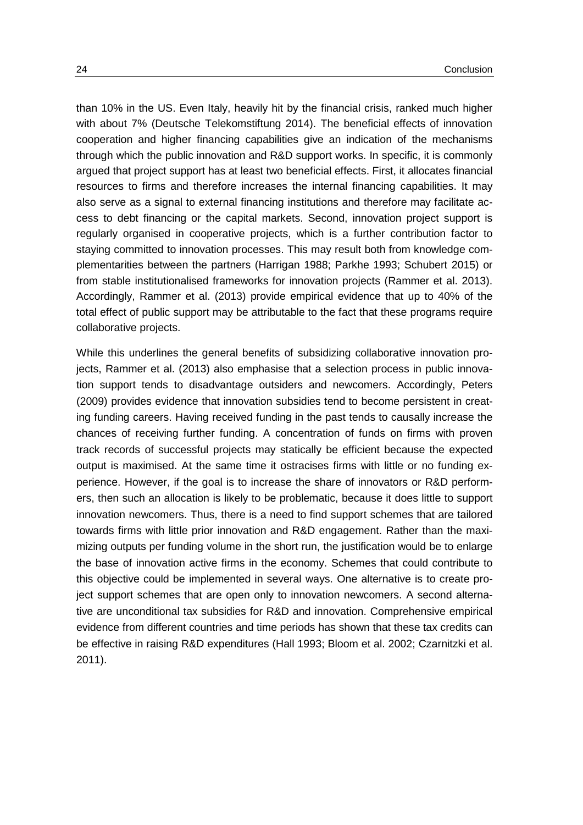than 10% in the US. Even Italy, heavily hit by the financial crisis, ranked much higher with about 7% (Deutsche Telekomstiftung 2014). The beneficial effects of innovation cooperation and higher financing capabilities give an indication of the mechanisms through which the public innovation and R&D support works. In specific, it is commonly argued that project support has at least two beneficial effects. First, it allocates financial resources to firms and therefore increases the internal financing capabilities. It may also serve as a signal to external financing institutions and therefore may facilitate access to debt financing or the capital markets. Second, innovation project support is regularly organised in cooperative projects, which is a further contribution factor to staying committed to innovation processes. This may result both from knowledge complementarities between the partners (Harrigan 1988; Parkhe 1993; Schubert 2015) or from stable institutionalised frameworks for innovation projects (Rammer et al. 2013). Accordingly, Rammer et al. (2013) provide empirical evidence that up to 40% of the total effect of public support may be attributable to the fact that these programs require collaborative projects.

While this underlines the general benefits of subsidizing collaborative innovation projects, Rammer et al. (2013) also emphasise that a selection process in public innovation support tends to disadvantage outsiders and newcomers. Accordingly, Peters (2009) provides evidence that innovation subsidies tend to become persistent in creating funding careers. Having received funding in the past tends to causally increase the chances of receiving further funding. A concentration of funds on firms with proven track records of successful projects may statically be efficient because the expected output is maximised. At the same time it ostracises firms with little or no funding experience. However, if the goal is to increase the share of innovators or R&D performers, then such an allocation is likely to be problematic, because it does little to support innovation newcomers. Thus, there is a need to find support schemes that are tailored towards firms with little prior innovation and R&D engagement. Rather than the maximizing outputs per funding volume in the short run, the justification would be to enlarge the base of innovation active firms in the economy. Schemes that could contribute to this objective could be implemented in several ways. One alternative is to create project support schemes that are open only to innovation newcomers. A second alternative are unconditional tax subsidies for R&D and innovation. Comprehensive empirical evidence from different countries and time periods has shown that these tax credits can be effective in raising R&D expenditures (Hall 1993; Bloom et al. 2002; Czarnitzki et al. 2011).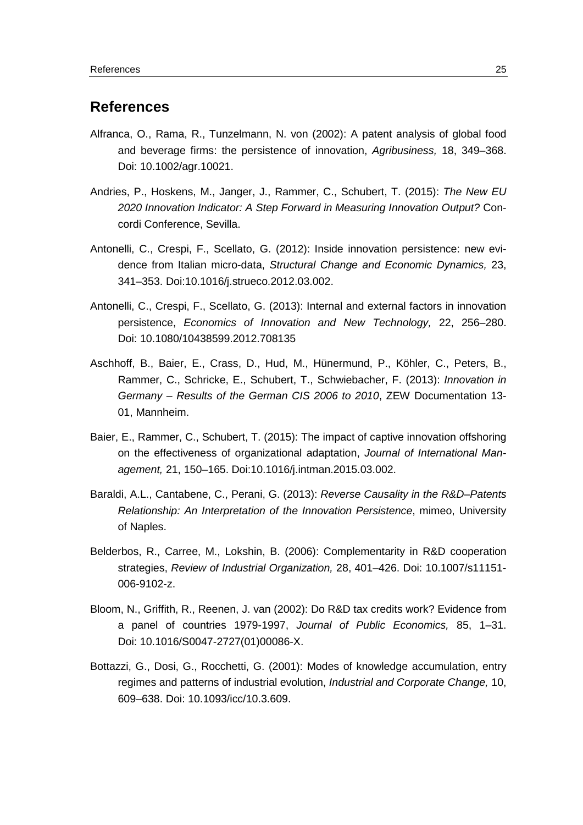### <span id="page-28-0"></span>**References**

- Alfranca, O., Rama, R., Tunzelmann, N. von (2002): A patent analysis of global food and beverage firms: the persistence of innovation, *Agribusiness,* 18, 349–368. Doi: 10.1002/agr.10021.
- Andries, P., Hoskens, M., Janger, J., Rammer, C., Schubert, T. (2015): *The New EU 2020 Innovation Indicator: A Step Forward in Measuring Innovation Output?* Concordi Conference, Sevilla.
- Antonelli, C., Crespi, F., Scellato, G. (2012): Inside innovation persistence: new evidence from Italian micro-data, *Structural Change and Economic Dynamics,* 23, 341–353. [Doi:10.1016/j.strueco.2012.03.002.](http://dx.doi.org/10.1016/j.strueco.2012.03.002)
- Antonelli, C., Crespi, F., Scellato, G. (2013): Internal and external factors in innovation persistence, *Economics of Innovation and New Technology,* 22, 256–280. Doi: 10.1080/10438599.2012.708135
- Aschhoff, B., Baier, E., Crass, D., Hud, M., Hünermund, P., Köhler, C., Peters, B., Rammer, C., Schricke, E., Schubert, T., Schwiebacher, F. (2013): *Innovation in Germany – Results of the German CIS 2006 to 2010*, ZEW Documentation 13- 01, Mannheim.
- Baier, E., Rammer, C., Schubert, T. (2015): The impact of captive innovation offshoring on the effectiveness of organizational adaptation, *Journal of International Management,* 21, 150–165. [Doi:10.1016/j.intman.2015.03.002.](http://dx.doi.org/10.1016/j.intman.2015.03.002)
- Baraldi, A.L., Cantabene, C., Perani, G. (2013): *Reverse Causality in the R&D–Patents Relationship: An Interpretation of the Innovation Persistence*, mimeo, University of Naples.
- [Belderbos,](https://scholar.google.de/citations?user=fDJf2m4AAAAJ&hl=de&oi=sra) R., Carree, M., [Lokshin,](https://scholar.google.de/citations?user=tOQtOMoAAAAJ&hl=de&oi=sra) B. (2006): [Complementarity in R&D cooperation](http://link.springer.com/article/10.1007/s11151-006-9102-z)  [strategies,](http://link.springer.com/article/10.1007/s11151-006-9102-z) *Review of Industrial Organization,* 28, 401–426. Doi: 10.1007/s11151- 006-9102-z.
- Bloom, N., Griffith, R., Reenen, J. van (2002): Do R&D tax credits work? Evidence from a panel of countries 1979-1997, *Journal of Public Economics,* 85, 1–31. Doi: [10.1016/S0047-2727\(01\)00086-X.](http://dx.doi.org/10.1016/S0047-2727%2801%2900086-X)
- Bottazzi, G., Dosi, G., Rocchetti, G. (2001): Modes of knowledge accumulation, entry regimes and patterns of industrial evolution, *Industrial and Corporate Change,* 10, 609–638. Doi: 10.1093/icc/10.3.609.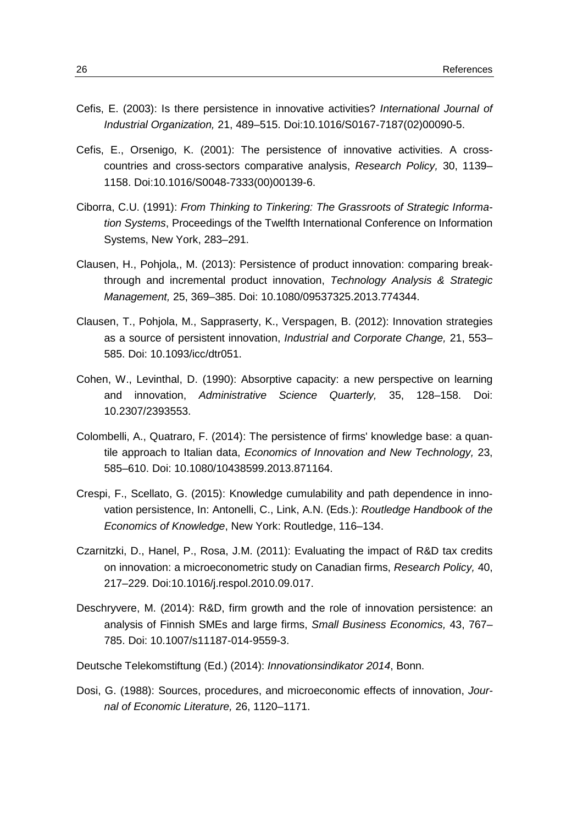- Cefis, E. (2003): Is there persistence in innovative activities? *International Journal of Industrial Organization,* 21, 489–515. [Doi:10.1016/S0167-7187\(02\)00090-5.](http://dx.doi.org/10.1016/S0167-7187%2802%2900090-5)
- Cefis, E., Orsenigo, K. (2001): The persistence of innovative activities. A crosscountries and cross-sectors comparative analysis, *Research Policy,* 30, 1139– 1158. [Doi:10.1016/S0048-7333\(00\)00139-6.](http://dx.doi.org/10.1016/S0048-7333%2800%2900139-6)
- Ciborra, C.U. (1991): *From Thinking to Tinkering: The Grassroots of Strategic Information Systems*, Proceedings of the Twelfth International Conference on Information Systems, New York, 283–291.
- Clausen, H., Pohjola,, M. (2013): Persistence of product innovation: comparing breakthrough and incremental product innovation, *Technology Analysis & Strategic Management,* 25, 369–385. Doi: 10.1080/09537325.2013.774344.
- Clausen, T., Pohjola, M., Sappraserty, K., Verspagen, B. (2012): Innovation strategies as a source of persistent innovation, *Industrial and Corporate Change,* 21, 553– 585. Doi: 10.1093/icc/dtr051.
- Cohen, W., Levinthal, D. (1990): Absorptive capacity: a new perspective on learning and innovation, *Administrative Science Quarterly,* 35, 128–158. Doi: 10.2307/2393553.
- Colombelli, A., Quatraro, F. (2014): The persistence of firms' knowledge base: a quantile approach to Italian data, *Economics of Innovation and New Technology,* 23, 585–610. Doi: 10.1080/10438599.2013.871164.
- Crespi, F., Scellato, G. (2015): Knowledge cumulability and path dependence in innovation persistence, In: Antonelli, C., Link, A.N. (Eds.): *Routledge Handbook of the Economics of Knowledge*, New York: Routledge, 116–134.
- Czarnitzki, D., Hanel, P., Rosa, J.M. (2011): Evaluating the impact of R&D tax credits on innovation: a microeconometric study on Canadian firms, *Research Policy,* 40, 217–229. [Doi:10.1016/j.respol.2010.09.017.](http://dx.doi.org/10.1016/j.respol.2010.09.017)
- Deschryvere, M. (2014): R&D, firm growth and the role of innovation persistence: an analysis of Finnish SMEs and large firms, *Small Business Economics,* 43, 767– 785. Doi: 10.1007/s11187-014-9559-3.
- Deutsche Telekomstiftung (Ed.) (2014): *Innovationsindikator 2014*, Bonn.
- Dosi, G. (1988): Sources, procedures, and microeconomic effects of innovation, *Journal of Economic Literature,* 26, 1120–1171.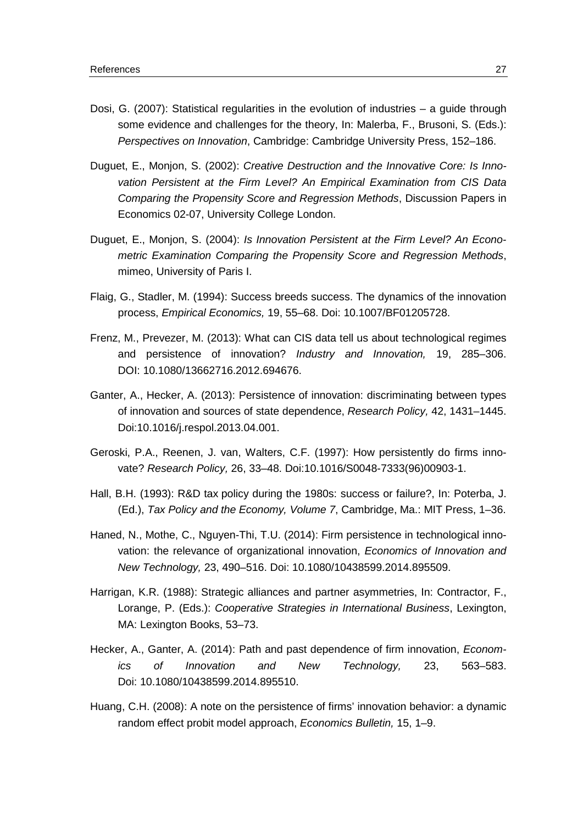- Dosi, G. (2007): Statistical regularities in the evolution of industries a guide through some evidence and challenges for the theory, In: Malerba, F., Brusoni, S. (Eds.): *Perspectives on Innovation*, Cambridge: Cambridge University Press, 152–186.
- Duguet, E., Monjon, S. (2002): *Creative Destruction and the Innovative Core: Is Innovation Persistent at the Firm Level? An Empirical Examination from CIS Data Comparing the Propensity Score and Regression Methods*, Discussion Papers in Economics 02-07, University College London.
- Duguet, E., Monjon, S. (2004): *Is Innovation Persistent at the Firm Level? An Econometric Examination Comparing the Propensity Score and Regression Methods*, mimeo, University of Paris I.
- Flaig, G., Stadler, M. (1994): Success breeds success. The dynamics of the innovation process, *Empirical Economics,* 19, 55–68. Doi: 10.1007/BF01205728.
- Frenz, M., Prevezer, M. (2013): What can CIS data tell us about technological regimes and persistence of innovation? *Industry and Innovation,* 19, 285–306. DOI: 10.1080/13662716.2012.694676.
- Ganter, A., Hecker, A. (2013): Persistence of innovation: discriminating between types of innovation and sources of state dependence, *Research Policy,* 42, 1431–1445. [Doi:10.1016/j.respol.2013.04.001.](http://dx.doi.org/10.1016/j.respol.2013.04.001)
- Geroski, P.A., Reenen, J. van, Walters, C.F. (1997): How persistently do firms innovate? *Research Policy,* 26, 33–48. [Doi:10.1016/S0048-7333\(96\)00903-1.](http://dx.doi.org/10.1016/S0048-7333%2896%2900903-1)
- Hall, B.H. (1993): R&D tax [policy during the 1980s: success or failure?,](http://www.nber.org/chapters/c10876.pdf) In: Poterba, J. (Ed.), *Tax Policy and the Economy, Volume 7*, Cambridge, Ma.: MIT Press, 1–36.
- Haned, N., Mothe, C., Nguyen-Thi, T.U. (2014): Firm persistence in technological innovation: the relevance of organizational innovation, *Economics of Innovation and New Technology,* 23, 490–516. Doi: 10.1080/10438599.2014.895509.
- Harrigan, K.R. (1988): Strategic alliances and partner asymmetries, In: Contractor, F., Lorange, P. (Eds.): *Cooperative Strategies in International Business*, Lexington, MA: Lexington Books, 53–73.
- Hecker, A., Ganter, A. (2014): Path and past dependence of firm innovation, *Economics of Innovation and New Technology,* 23, 563–583. Doi: 10.1080/10438599.2014.895510.
- Huang, C.H. (2008): A note on the persistence of firms' innovation behavior: a dynamic random effect probit model approach, *Economics Bulletin,* 15, 1–9.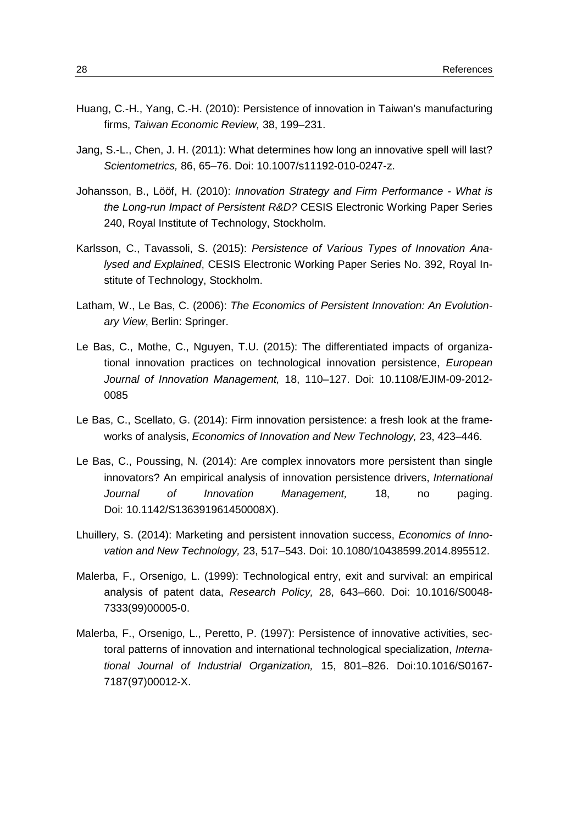- Huang, C.-H., Yang, C.-H. (2010): Persistence of innovation in Taiwan's manufacturing firms, *Taiwan Economic Review,* 38, 199–231.
- Jang, S.-L., Chen, J. H. (2011): What determines how long an innovative spell will last? *Scientometrics,* 86, 65–76. Doi: 10.1007/s11192-010-0247-z.
- Johansson, B., Lööf, H. (2010): *Innovation Strategy and Firm Performance - What is the Long-run Impact of Persistent R&D?* CESIS Electronic Working Paper Series 240, Royal Institute of Technology, Stockholm.
- Karlsson, C., Tavassoli, S. (2015): *Persistence of Various Types of Innovation Analysed and Explained*, CESIS Electronic Working Paper Series No. 392, Royal Institute of Technology, Stockholm.
- Latham, W., Le Bas, C. (2006): *The Economics of Persistent Innovation: An Evolutionary View*, Berlin: Springer.
- Le Bas, C., Mothe, C., Nguyen, T.U. (2015): The differentiated impacts of organizational innovation practices on technological innovation persistence, *European Journal of Innovation Management,* 18, 110–127. Doi: [10.1108/EJIM-09-2012-](http://dx.doi.org/10.1108/EJIM-09-2012-0085) [0085](http://dx.doi.org/10.1108/EJIM-09-2012-0085)
- Le Bas, C., Scellato, G. (2014): Firm innovation persistence: a fresh look at the frameworks of analysis, *Economics of Innovation and New Technology,* 23, 423–446.
- Le Bas, C., Poussing, N. (2014): Are complex innovators more persistent than single innovators? An empirical analysis of innovation persistence drivers, *International Journal of Innovation Management,* 18, no paging. Doi: 10.1142/S136391961450008X).
- Lhuillery, S. (2014): Marketing and persistent innovation success, *Economics of Innovation and New Technology,* 23, 517–543. Doi: 10.1080/10438599.2014.895512.
- Malerba, F., Orsenigo, L. (1999): Technological entry, exit and survival: an empirical analysis of patent data, *Research Policy,* 28, 643–660. Doi: [10.1016/S0048-](http://dx.doi.org/10.1016/S0048-7333%2899%2900005-0) [7333\(99\)00005-0.](http://dx.doi.org/10.1016/S0048-7333%2899%2900005-0)
- Malerba, F., Orsenigo, L., Peretto, P. (1997): Persistence of innovative activities, sectoral patterns of innovation and international technological specialization, *International Journal of Industrial Organization,* 15, 801–826. [Doi:10.1016/S0167-](http://dx.doi.org/10.1016/S0167-7187%2897%2900012-X) [7187\(97\)00012-X.](http://dx.doi.org/10.1016/S0167-7187%2897%2900012-X)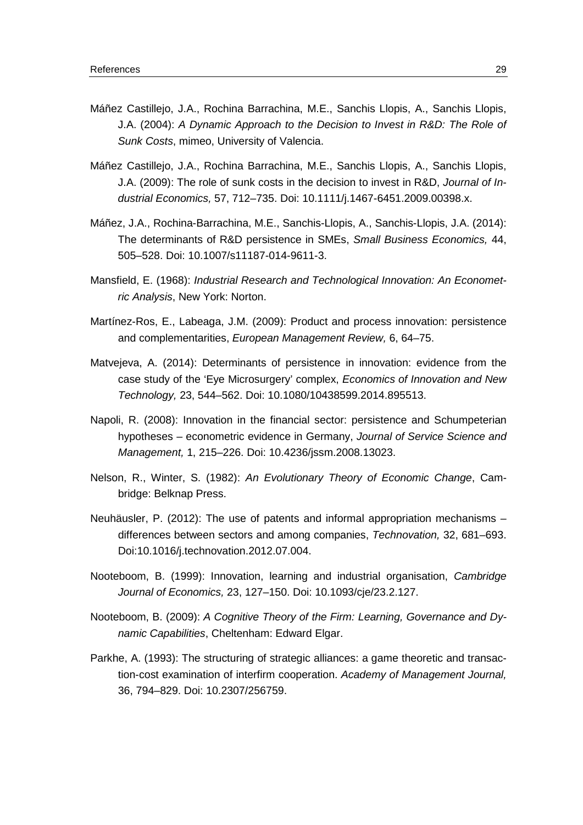- Máñez Castillejo, J.A., Rochina Barrachina, M.E., Sanchis Llopis, A., Sanchis Llopis, J.A. (2004): *A Dynamic Approach to the Decision to Invest in R&D: The Role of Sunk Costs*, mimeo, University of Valencia.
- Máñez Castillejo, J.A., Rochina Barrachina, M.E., Sanchis Llopis, A., Sanchis Llopis, J.A. (2009): The role of sunk costs in the decision to invest in R&D, *Journal of Industrial Economics,* 57, 712–735. Doi: 10.1111/j.1467-6451.2009.00398.x.
- Máñez, J.A., Rochina-Barrachina, M.E., Sanchis-Llopis, A., Sanchis-Llopis, J.A. (2014): The determinants of R&D persistence in SMEs, *Small Business Economics,* 44, 505–528. Doi: 10.1007/s11187-014-9611-3.
- Mansfield, E. (1968): *Industrial Research and Technological Innovation: An Econometric Analysis*, New York: Norton.
- Martínez-Ros, E., Labeaga, J.M. (2009): Product and process innovation: persistence and complementarities, *European Management Review,* 6, 64–75.
- Matvejeva, A. (2014): Determinants of persistence in innovation: evidence from the case study of the 'Eye Microsurgery' complex, *Economics of Innovation and New Technology,* 23, 544–562. Doi: 10.1080/10438599.2014.895513.
- Napoli, R. (2008): Innovation in the financial sector: persistence and Schumpeterian hypotheses – econometric evidence in Germany, *Journal of Service Science and Management,* 1, 215–226. Doi: 10.4236/jssm.2008.13023.
- Nelson, R., Winter, S. (1982): *An Evolutionary Theory of Economic Change*, Cambridge: Belknap Press.
- Neuhäusler, P. (2012): The use of patents and informal appropriation mechanisms differences between sectors and among companies, *Technovation,* 32, 681–693. [Doi:10.1016/j.technovation.2012.07.004.](http://dx.doi.org/10.1016/j.technovation.2012.07.004)
- Nooteboom, B. (1999): [Innovation, learning and industrial organisation,](http://www.jstor.org/stable/23599580) *Cambridge Journal of Economics,* 23, 127–150. Doi: 10.1093/cje/23.2.127.
- Nooteboom, B. (2009): *[A Cognitive Theory of the Firm: Learning, Governance and Dy](https://books.google.de/books?hl=de&lr=&id=ElzaDaatE98C&oi=fnd&pg=PR1&dq=innovation+learning+nooteboom+2009&ots=5_we4tHTec&sig=K2ACPnnrVBdoLIs6ax1UyQLYROE)[namic Capabilities](https://books.google.de/books?hl=de&lr=&id=ElzaDaatE98C&oi=fnd&pg=PR1&dq=innovation+learning+nooteboom+2009&ots=5_we4tHTec&sig=K2ACPnnrVBdoLIs6ax1UyQLYROE)*, Cheltenham: Edward Elgar.
- Parkhe, A. (1993): The structuring of strategic alliances: a game theoretic and transaction-cost examination of interfirm cooperation. *Academy of Management Journal,* 36, 794–829. Doi: 10.2307/256759.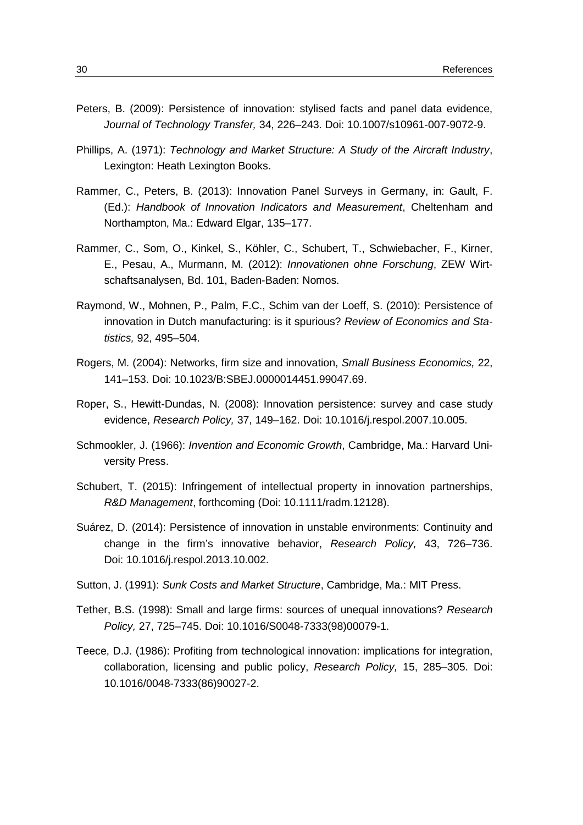- Peters, B. (2009): Persistence of innovation: stylised facts and panel data evidence, *Journal of Technology Transfer,* 34, 226–243. Doi: 10.1007/s10961-007-9072-9.
- Phillips, A. (1971): *Technology and Market Structure: A Study of the Aircraft Industry*, Lexington: Heath Lexington Books.
- Rammer, C., Peters, B. (2013): Innovation Panel Surveys in Germany, in: Gault, F. (Ed.): *Handbook of Innovation Indicators and Measurement*, Cheltenham and Northampton, Ma.: Edward Elgar, 135–177.
- [Rammer, C.,](http://www.zew.de/de/mitarbeiter/mitarbeiter.php3?action=mita&kurz=cra) Som, O., Kinkel, S., [Köhler,](http://www.zew.de/de/mitarbeiter/mitarbeiter.php3?action=mita&kurz=cko) C., Schubert, T., [Schwiebacher,](http://www.zew.de/de/mitarbeiter/mitarbeiter.php3?action=mita&kurz=fsc) F., Kirner, E., Pesau, A., Murmann, [M.](http://www.zew.de/de/mitarbeiter/mitarbeiter.php3?action=mita&kurz=mmu) (2012): *Innovationen ohne Forschung*, ZEW Wirtschaftsanalysen, Bd. 101, Baden-Baden: Nomos.
- Raymond, W., Mohnen, P., Palm, F.C., Schim van der Loeff, S. (2010): Persistence of innovation in Dutch manufacturing: is it spurious? *Review of Economics and Statistics,* 92, 495–504.
- Rogers, M. (2004): Networks, firm size and innovation, *Small Business Economics,* 22, 141–153. Doi: 10.1023/B:SBEJ.0000014451.99047.69.
- Roper, S., Hewitt-Dundas, N. (2008): Innovation persistence: survey and case study evidence, *Research Policy,* 37, 149–162. Doi: [10.1016/j.respol.2007.10.005.](http://dx.doi.org/10.1016/j.respol.2007.10.005)
- Schmookler, J. (1966): *Invention and Economic Growth*, Cambridge, Ma.: Harvard University Press.
- Schubert, T. (2015): Infringement of intellectual property in innovation partnerships, *R&D Management*, forthcoming (Doi: 10.1111/radm.12128).
- Suárez, D. (2014): Persistence of innovation in unstable environments: Continuity and change in the firm's innovative behavior, *Research Policy,* 43, 726–736. Doi: [10.1016/j.respol.2013.10.002.](http://dx.doi.org/10.1016/j.respol.2013.10.002)
- Sutton, J. (1991): *Sunk Costs and Market Structure*, Cambridge, Ma.: MIT Press.
- [Tether,](https://scholar.google.de/citations?user=LU_qrnAAAAAJ&hl=de&oi=sra) B.S. (1998): [Small and large firms: sources of unequal innovations?](http://www.sciencedirect.com/science/article/pii/S0048733398000791) *Research Policy,* 27, 725–745. Doi: [10.1016/S0048-7333\(98\)00079-1.](http://dx.doi.org/10.1016/S0048-7333%2898%2900079-1)
- Teece, D.J. (1986): Profiting from technological innovation: implications for integration, collaboration, licensing and public policy, *Research Policy,* 15, 285–305. [Doi:](http://dx.doi.org/10.1016/0048-7333%2886%2990027-2) [10.1016/0048-7333\(86\)90027-2.](http://dx.doi.org/10.1016/0048-7333%2886%2990027-2)